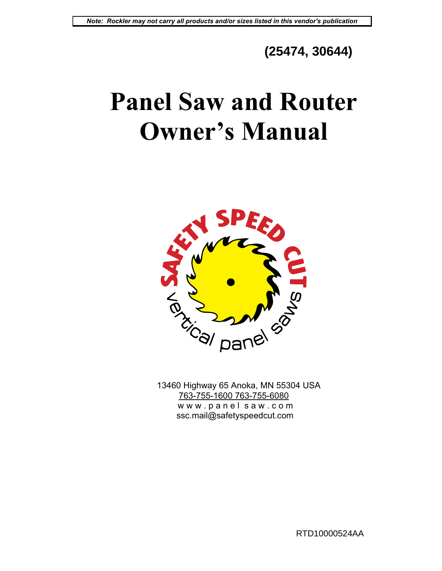# **(25474, 30644)**

# **Panel Saw and Router Owner's Manual**



 13460 Highway 65 Anoka, MN 55304 USA 763-755-1600 763-755-6080 www.panelsaw.com ssc.mail@safetyspeedcut.com

RTD10000524AA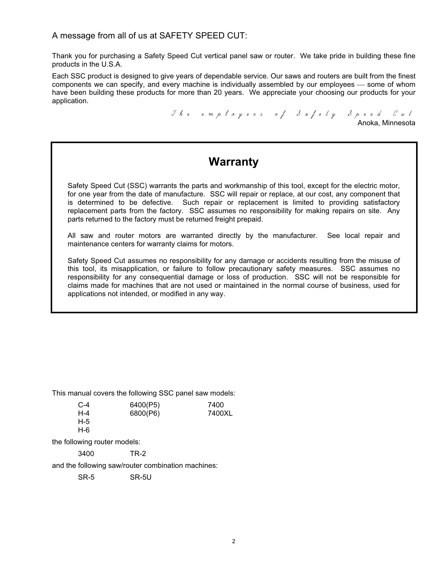## A message from all of us at SAFETY SPEED CUT:

Thank you for purchasing a Safety Speed Cut vertical panel saw or router. We take pride in building these fine products in the U.S.A.

Each SSC product is designed to give years of dependable service. Our saws and routers are built from the finest components we can specify, and every machine is individually assembled by our employees — some of whom have been building these products for more than 20 years. We appreciate your choosing our products for your application.

> The employees of Safety Speed Cut Anoka, Minnesota

## **Warranty**

Safety Speed Cut (SSC) warrants the parts and workmanship of this tool, except for the electric motor, for one year from the date of manufacture. SSC will repair or replace, at our cost, any component that is determined to be defective. Such repair or replacement is limited to providing satisfactory replacement parts from the factory. SSC assumes no responsibility for making repairs on site. Any parts returned to the factory must be returned freight prepaid.

All saw and router motors are warranted directly by the manufacturer. See local repair and maintenance centers for warranty claims for motors.

Safety Speed Cut assumes no responsibility for any damage or accidents resulting from the misuse of this tool, its misapplication, or failure to follow precautionary safety measures. SSC assumes no responsibility for any consequential damage or loss of production. SSC will not be responsible for claims made for machines that are not used or maintained in the normal course of business, used for applications not intended, or modified in any way.

This manual covers the following SSC panel saw models:

| $C-4$ | 6400(P5) | 7400   |
|-------|----------|--------|
| H-4   | 6800(P6) | 7400XL |
| H-5   |          |        |
| H-6   |          |        |

the following router models:

3400 TR-2

and the following saw/router combination machines:

SR-5 SR-5U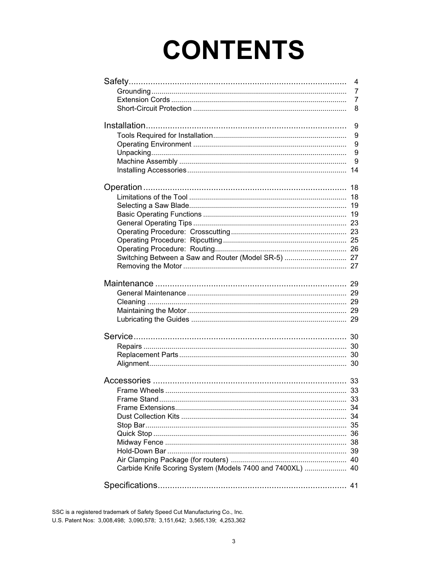# **CONTENTS**

|                                                           | $\overline{4}$ |
|-----------------------------------------------------------|----------------|
|                                                           | $\overline{7}$ |
|                                                           | $\overline{7}$ |
|                                                           | 8              |
|                                                           | 9              |
|                                                           | 9              |
|                                                           | 9              |
|                                                           | 9              |
|                                                           | 9              |
|                                                           |                |
|                                                           |                |
|                                                           | 18             |
|                                                           |                |
|                                                           |                |
|                                                           |                |
|                                                           |                |
|                                                           |                |
|                                                           |                |
|                                                           |                |
| Switching Between a Saw and Router (Model SR-5)  27       |                |
|                                                           |                |
|                                                           |                |
|                                                           |                |
|                                                           |                |
|                                                           |                |
|                                                           |                |
|                                                           |                |
|                                                           |                |
|                                                           |                |
|                                                           |                |
|                                                           |                |
|                                                           |                |
|                                                           |                |
|                                                           | 33             |
|                                                           |                |
|                                                           |                |
|                                                           |                |
|                                                           |                |
|                                                           |                |
|                                                           |                |
|                                                           |                |
| Carbide Knife Scoring System (Models 7400 and 7400XL)  40 |                |
|                                                           |                |
|                                                           |                |

SSC is a registered trademark of Safety Speed Cut Manufacturing Co., Inc. U.S. Patent Nos: 3,008,498; 3,090,578; 3,151,642; 3,565,139; 4,253,362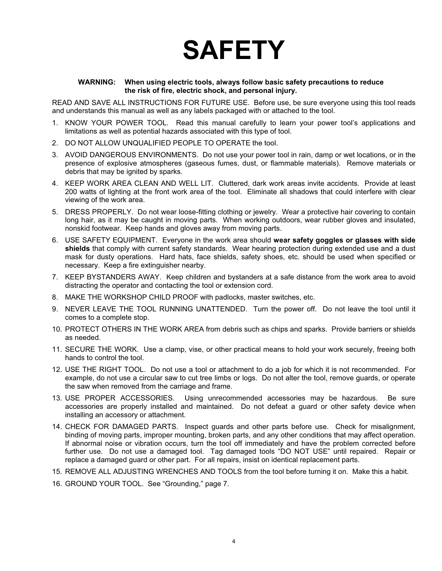# **SAFETY**

#### **WARNING: When using electric tools, always follow basic safety precautions to reduce the risk of fire, electric shock, and personal injury.**

READ AND SAVE ALL INSTRUCTIONS FOR FUTURE USE. Before use, be sure everyone using this tool reads and understands this manual as well as any labels packaged with or attached to the tool.

- 1. KNOW YOUR POWER TOOL. Read this manual carefully to learn your power tool's applications and limitations as well as potential hazards associated with this type of tool.
- 2. DO NOT ALLOW UNQUALIFIED PEOPLE TO OPERATE the tool.
- 3. AVOID DANGEROUS ENVIRONMENTS. Do not use your power tool in rain, damp or wet locations, or in the presence of explosive atmospheres (gaseous fumes, dust, or flammable materials). Remove materials or debris that may be ignited by sparks.
- 4. KEEP WORK AREA CLEAN AND WELL LIT. Cluttered, dark work areas invite accidents. Provide at least 200 watts of lighting at the front work area of the tool. Eliminate all shadows that could interfere with clear viewing of the work area.
- 5. DRESS PROPERLY. Do not wear loose-fitting clothing or jewelry. Wear a protective hair covering to contain long hair, as it may be caught in moving parts. When working outdoors, wear rubber gloves and insulated, nonskid footwear. Keep hands and gloves away from moving parts.
- 6. USE SAFETY EQUIPMENT. Everyone in the work area should **wear safety goggles or glasses with side shields** that comply with current safety standards. Wear hearing protection during extended use and a dust mask for dusty operations. Hard hats, face shields, safety shoes, etc. should be used when specified or necessary. Keep a fire extinguisher nearby.
- 7. KEEP BYSTANDERS AWAY. Keep children and bystanders at a safe distance from the work area to avoid distracting the operator and contacting the tool or extension cord.
- 8. MAKE THE WORKSHOP CHILD PROOF with padlocks, master switches, etc.
- 9. NEVER LEAVE THE TOOL RUNNING UNATTENDED. Turn the power off. Do not leave the tool until it comes to a complete stop.
- 10. PROTECT OTHERS IN THE WORK AREA from debris such as chips and sparks. Provide barriers or shields as needed.
- 11. SECURE THE WORK. Use a clamp, vise, or other practical means to hold your work securely, freeing both hands to control the tool.
- 12. USE THE RIGHT TOOL. Do not use a tool or attachment to do a job for which it is not recommended. For example, do not use a circular saw to cut tree limbs or logs. Do not alter the tool, remove guards, or operate the saw when removed from the carriage and frame.
- 13. USE PROPER ACCESSORIES. Using unrecommended accessories may be hazardous. Be sure accessories are properly installed and maintained. Do not defeat a guard or other safety device when installing an accessory or attachment.
- 14. CHECK FOR DAMAGED PARTS. Inspect guards and other parts before use. Check for misalignment, binding of moving parts, improper mounting, broken parts, and any other conditions that may affect operation. If abnormal noise or vibration occurs, turn the tool off immediately and have the problem corrected before further use. Do not use a damaged tool. Tag damaged tools "DO NOT USE" until repaired. Repair or replace a damaged guard or other part. For all repairs, insist on identical replacement parts.
- 15. REMOVE ALL ADJUSTING WRENCHES AND TOOLS from the tool before turning it on. Make this a habit.
- 16. GROUND YOUR TOOL. See "Grounding," page 7.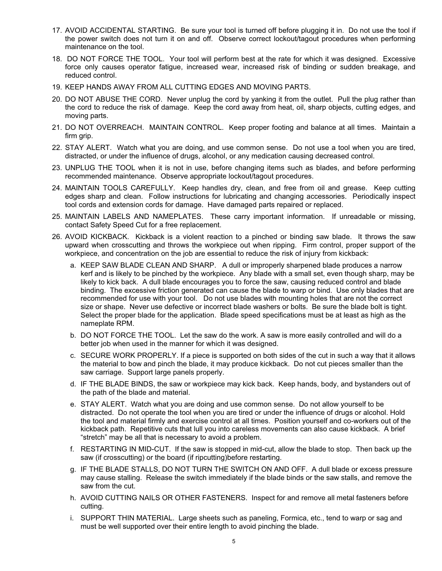- 17. AVOID ACCIDENTAL STARTING. Be sure your tool is turned off before plugging it in. Do not use the tool if the power switch does not turn it on and off. Observe correct lockout/tagout procedures when performing maintenance on the tool.
- 18. DO NOT FORCE THE TOOL. Your tool will perform best at the rate for which it was designed. Excessive force only causes operator fatigue, increased wear, increased risk of binding or sudden breakage, and reduced control.
- 19. KEEP HANDS AWAY FROM ALL CUTTING EDGES AND MOVING PARTS.
- 20. DO NOT ABUSE THE CORD. Never unplug the cord by yanking it from the outlet. Pull the plug rather than the cord to reduce the risk of damage. Keep the cord away from heat, oil, sharp objects, cutting edges, and moving parts.
- 21. DO NOT OVERREACH. MAINTAIN CONTROL. Keep proper footing and balance at all times. Maintain a firm grip.
- 22. STAY ALERT. Watch what you are doing, and use common sense. Do not use a tool when you are tired, distracted, or under the influence of drugs, alcohol, or any medication causing decreased control.
- 23. UNPLUG THE TOOL when it is not in use, before changing items such as blades, and before performing recommended maintenance. Observe appropriate lockout/tagout procedures.
- 24. MAINTAIN TOOLS CAREFULLY. Keep handles dry, clean, and free from oil and grease. Keep cutting edges sharp and clean. Follow instructions for lubricating and changing accessories. Periodically inspect tool cords and extension cords for damage. Have damaged parts repaired or replaced.
- 25. MAINTAIN LABELS AND NAMEPLATES. These carry important information. If unreadable or missing, contact Safety Speed Cut for a free replacement.
- 26. AVOID KICKBACK. Kickback is a violent reaction to a pinched or binding saw blade. It throws the saw upward when crosscutting and throws the workpiece out when ripping. Firm control, proper support of the workpiece, and concentration on the job are essential to reduce the risk of injury from kickback:
	- a. KEEP SAW BLADE CLEAN AND SHARP. A dull or improperly sharpened blade produces a narrow kerf and is likely to be pinched by the workpiece. Any blade with a small set, even though sharp, may be likely to kick back. A dull blade encourages you to force the saw, causing reduced control and blade binding. The excessive friction generated can cause the blade to warp or bind. Use only blades that are recommended for use with your tool. Do not use blades with mounting holes that are not the correct size or shape. Never use defective or incorrect blade washers or bolts. Be sure the blade bolt is tight. Select the proper blade for the application. Blade speed specifications must be at least as high as the nameplate RPM.
	- b. DO NOT FORCE THE TOOL. Let the saw do the work. A saw is more easily controlled and will do a better job when used in the manner for which it was designed.
	- c. SECURE WORK PROPERLY. If a piece is supported on both sides of the cut in such a way that it allows the material to bow and pinch the blade, it may produce kickback. Do not cut pieces smaller than the saw carriage. Support large panels properly.
	- d. IF THE BLADE BINDS, the saw or workpiece may kick back. Keep hands, body, and bystanders out of the path of the blade and material.
	- e. STAY ALERT. Watch what you are doing and use common sense. Do not allow yourself to be distracted. Do not operate the tool when you are tired or under the influence of drugs or alcohol. Hold the tool and material firmly and exercise control at all times. Position yourself and co-workers out of the kickback path. Repetitive cuts that lull you into careless movements can also cause kickback. A brief "stretch" may be all that is necessary to avoid a problem.
	- f. RESTARTING IN MID-CUT. If the saw is stopped in mid-cut, allow the blade to stop. Then back up the saw (if crosscutting) or the board (if ripcutting)before restarting.
	- g. IF THE BLADE STALLS, DO NOT TURN THE SWITCH ON AND OFF. A dull blade or excess pressure may cause stalling. Release the switch immediately if the blade binds or the saw stalls, and remove the saw from the cut.
	- h. AVOID CUTTING NAILS OR OTHER FASTENERS. Inspect for and remove all metal fasteners before cutting.
	- i. SUPPORT THIN MATERIAL. Large sheets such as paneling, Formica, etc., tend to warp or sag and must be well supported over their entire length to avoid pinching the blade.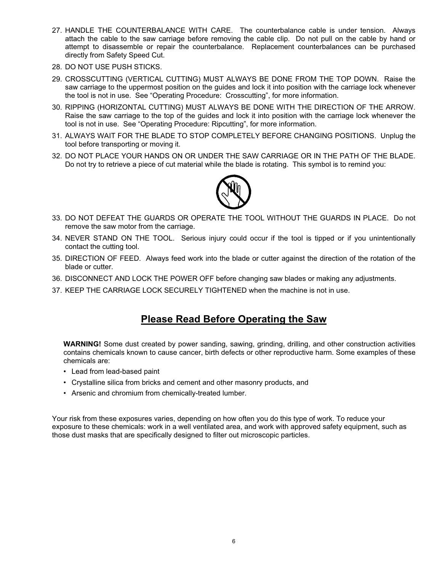- 27. HANDLE THE COUNTERBALANCE WITH CARE. The counterbalance cable is under tension. Always attach the cable to the saw carriage before removing the cable clip. Do not pull on the cable by hand or attempt to disassemble or repair the counterbalance. Replacement counterbalances can be purchased directly from Safety Speed Cut.
- 28. DO NOT USE PUSH STICKS.
- 29. CROSSCUTTING (VERTICAL CUTTING) MUST ALWAYS BE DONE FROM THE TOP DOWN. Raise the saw carriage to the uppermost position on the guides and lock it into position with the carriage lock whenever the tool is not in use. See "Operating Procedure: Crosscutting", for more information.
- 30. RIPPING (HORIZONTAL CUTTING) MUST ALWAYS BE DONE WITH THE DIRECTION OF THE ARROW. Raise the saw carriage to the top of the guides and lock it into position with the carriage lock whenever the tool is not in use. See "Operating Procedure: Ripcutting", for more information.
- 31. ALWAYS WAIT FOR THE BLADE TO STOP COMPLETELY BEFORE CHANGING POSITIONS. Unplug the tool before transporting or moving it.
- 32. DO NOT PLACE YOUR HANDS ON OR UNDER THE SAW CARRIAGE OR IN THE PATH OF THE BLADE. Do not try to retrieve a piece of cut material while the blade is rotating. This symbol is to remind you:



- 33. DO NOT DEFEAT THE GUARDS OR OPERATE THE TOOL WITHOUT THE GUARDS IN PLACE. Do not remove the saw motor from the carriage.
- 34. NEVER STAND ON THE TOOL. Serious injury could occur if the tool is tipped or if you unintentionally contact the cutting tool.
- 35. DIRECTION OF FEED. Always feed work into the blade or cutter against the direction of the rotation of the blade or cutter.
- 36. DISCONNECT AND LOCK THE POWER OFF before changing saw blades or making any adjustments.
- 37. KEEP THE CARRIAGE LOCK SECURELY TIGHTENED when the machine is not in use.

## **Please Read Before Operating the Saw**

**WARNING!** Some dust created by power sanding, sawing, grinding, drilling, and other construction activities contains chemicals known to cause cancer, birth defects or other reproductive harm. Some examples of these chemicals are:

- Lead from lead-based paint
- Crystalline silica from bricks and cement and other masonry products, and
- Arsenic and chromium from chemically-treated lumber.

Your risk from these exposures varies, depending on how often you do this type of work. To reduce your exposure to these chemicals: work in a well ventilated area, and work with approved safety equipment, such as those dust masks that are specifically designed to filter out microscopic particles.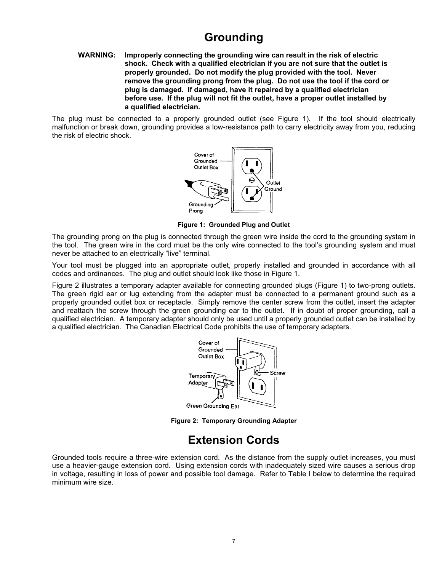# **Grounding**

#### **WARNING: Improperly connecting the grounding wire can result in the risk of electric shock. Check with a qualified electrician if you are not sure that the outlet is properly grounded. Do not modify the plug provided with the tool. Never remove the grounding prong from the plug. Do not use the tool if the cord or plug is damaged. If damaged, have it repaired by a qualified electrician before use. If the plug will not fit the outlet, have a proper outlet installed by a qualified electrician.**

The plug must be connected to a properly grounded outlet (see Figure 1). If the tool should electrically malfunction or break down, grounding provides a low-resistance path to carry electricity away from you, reducing the risk of electric shock.



**Figure 1: Grounded Plug and Outlet**

The grounding prong on the plug is connected through the green wire inside the cord to the grounding system in the tool. The green wire in the cord must be the only wire connected to the tool's grounding system and must never be attached to an electrically "live" terminal.

Your tool must be plugged into an appropriate outlet, properly installed and grounded in accordance with all codes and ordinances. The plug and outlet should look like those in Figure 1.

Figure 2 illustrates a temporary adapter available for connecting grounded plugs (Figure 1) to two-prong outlets. The green rigid ear or lug extending from the adapter must be connected to a permanent ground such as a properly grounded outlet box or receptacle. Simply remove the center screw from the outlet, insert the adapter and reattach the screw through the green grounding ear to the outlet. If in doubt of proper grounding, call a qualified electrician. A temporary adapter should only be used until a properly grounded outlet can be installed by a qualified electrician. The Canadian Electrical Code prohibits the use of temporary adapters.



**Figure 2: Temporary Grounding Adapter**

## **Extension Cords**

Grounded tools require a three-wire extension cord. As the distance from the supply outlet increases, you must use a heavier-gauge extension cord. Using extension cords with inadequately sized wire causes a serious drop in voltage, resulting in loss of power and possible tool damage. Refer to Table I below to determine the required minimum wire size.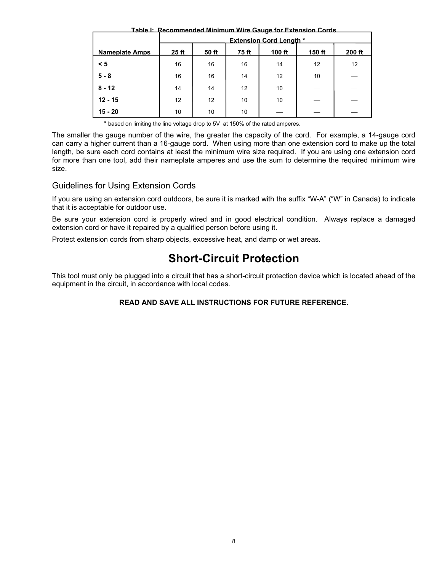**Table I: Recommended Minimum Wire Gauge for Extension Cords**

|                       | <b>Extension Cord Lenath *</b> |       |       |        |        |        |  |
|-----------------------|--------------------------------|-------|-------|--------|--------|--------|--|
| <b>Nameplate Amps</b> | 25 <sub>ft</sub>               | 50 ft | 75 ft | 100 ft | 150 ft | 200 ft |  |
| < 5                   | 16                             | 16    | 16    | 14     | 12     | 12     |  |
| $5 - 8$               | 16                             | 16    | 14    | 12     | 10     |        |  |
| $8 - 12$              | 14                             | 14    | 12    | 10     |        |        |  |
| $12 - 15$             | 12                             | 12    | 10    | 10     |        |        |  |
| $15 - 20$             | 10                             | 10    | 10    |        |        |        |  |

**\*** based on limiting the line voltage drop to 5V at 150% of the rated amperes.

The smaller the gauge number of the wire, the greater the capacity of the cord. For example, a 14-gauge cord can carry a higher current than a 16-gauge cord. When using more than one extension cord to make up the total length, be sure each cord contains at least the minimum wire size required. If you are using one extension cord for more than one tool, add their nameplate amperes and use the sum to determine the required minimum wire size.

## Guidelines for Using Extension Cords

If you are using an extension cord outdoors, be sure it is marked with the suffix "W-A" ("W" in Canada) to indicate that it is acceptable for outdoor use.

Be sure your extension cord is properly wired and in good electrical condition. Always replace a damaged extension cord or have it repaired by a qualified person before using it.

Protect extension cords from sharp objects, excessive heat, and damp or wet areas.

# **Short-Circuit Protection**

This tool must only be plugged into a circuit that has a short-circuit protection device which is located ahead of the equipment in the circuit, in accordance with local codes.

### **READ AND SAVE ALL INSTRUCTIONS FOR FUTURE REFERENCE.**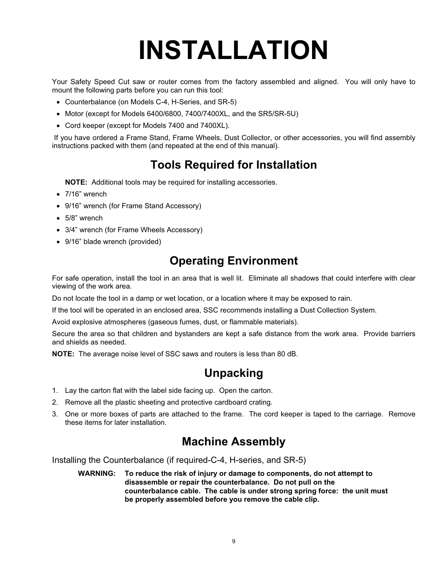# **INSTALLATION**

Your Safety Speed Cut saw or router comes from the factory assembled and aligned. You will only have to mount the following parts before you can run this tool:

- Counterbalance (on Models C-4, H-Series, and SR-5)
- Motor (except for Models 6400/6800, 7400/7400XL, and the SR5/SR-5U)
- Cord keeper (except for Models 7400 and 7400XL).

 If you have ordered a Frame Stand, Frame Wheels, Dust Collector, or other accessories, you will find assembly instructions packed with them (and repeated at the end of this manual).

# **Tools Required for Installation**

**NOTE:** Additional tools may be required for installing accessories.

- $\bullet$  7/16" wrench
- 9/16" wrench (for Frame Stand Accessory)
- $\bullet$  5/8" wrench
- 3/4" wrench (for Frame Wheels Accessory)
- 9/16" blade wrench (provided)

## **Operating Environment**

For safe operation, install the tool in an area that is well lit. Eliminate all shadows that could interfere with clear viewing of the work area.

Do not locate the tool in a damp or wet location, or a location where it may be exposed to rain.

If the tool will be operated in an enclosed area, SSC recommends installing a Dust Collection System.

Avoid explosive atmospheres (gaseous fumes, dust, or flammable materials).

Secure the area so that children and bystanders are kept a safe distance from the work area. Provide barriers and shields as needed.

**NOTE:** The average noise level of SSC saws and routers is less than 80 dB.

## **Unpacking**

- 1. Lay the carton flat with the label side facing up. Open the carton.
- 2. Remove all the plastic sheeting and protective cardboard crating.
- 3. One or more boxes of parts are attached to the frame. The cord keeper is taped to the carriage. Remove these items for later installation.

## **Machine Assembly**

Installing the Counterbalance (if required-C-4, H-series, and SR-5)

**WARNING: To reduce the risk of injury or damage to components, do not attempt to disassemble or repair the counterbalance. Do not pull on the counterbalance cable. The cable is under strong spring force: the unit must be properly assembled before you remove the cable clip.**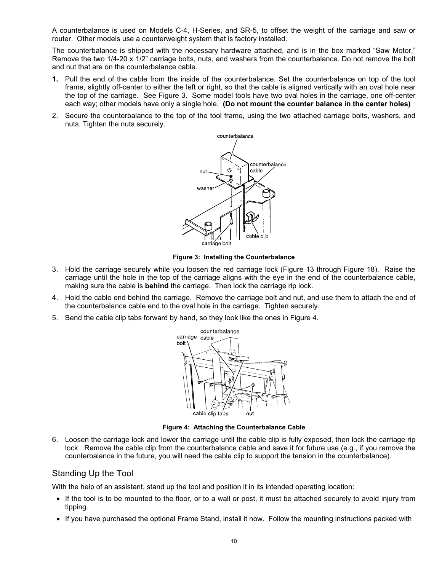A counterbalance is used on Models C-4, H-Series, and SR-5, to offset the weight of the carriage and saw or router. Other models use a counterweight system that is factory installed.

The counterbalance is shipped with the necessary hardware attached, and is in the box marked "Saw Motor." Remove the two 1/4-20 x 1/2" carriage bolts, nuts, and washers from the counterbalance. Do not remove the bolt and nut that are on the counterbalance cable.

- **1.** Pull the end of the cable from the inside of the counterbalance. Set the counterbalance on top of the tool frame, slightly off-center to either the left or right, so that the cable is aligned vertically with an oval hole near the top of the carriage. See Figure 3. Some model tools have two oval holes in the carriage, one off-center each way; other models have only a single hole. **(Do not mount the counter balance in the center holes)**
- 2. Secure the counterbalance to the top of the tool frame, using the two attached carriage bolts, washers, and nuts. Tighten the nuts securely.



**Figure 3: Installing the Counterbalance**

- 3. Hold the carriage securely while you loosen the red carriage lock (Figure 13 through Figure 18). Raise the carriage until the hole in the top of the carriage aligns with the eye in the end of the counterbalance cable, making sure the cable is **behind** the carriage. Then lock the carriage rip lock.
- 4. Hold the cable end behind the carriage. Remove the carriage bolt and nut, and use them to attach the end of the counterbalance cable end to the oval hole in the carriage. Tighten securely.
- 5. Bend the cable clip tabs forward by hand, so they look like the ones in Figure 4.



**Figure 4: Attaching the Counterbalance Cable**

6. Loosen the carriage lock and lower the carriage until the cable clip is fully exposed, then lock the carriage rip lock. Remove the cable clip from the counterbalance cable and save it for future use (e.g., if you remove the counterbalance in the future, you will need the cable clip to support the tension in the counterbalance).

#### Standing Up the Tool

With the help of an assistant, stand up the tool and position it in its intended operating location:

- If the tool is to be mounted to the floor, or to a wall or post, it must be attached securely to avoid injury from tipping.
- If you have purchased the optional Frame Stand, install it now. Follow the mounting instructions packed with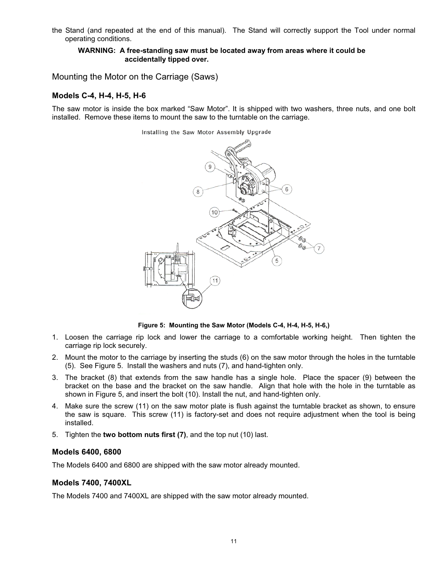the Stand (and repeated at the end of this manual). The Stand will correctly support the Tool under normal operating conditions.

#### **WARNING: A free-standing saw must be located away from areas where it could be accidentally tipped over.**

Mounting the Motor on the Carriage (Saws)

#### **Models C-4, H-4, H-5, H-6**

The saw motor is inside the box marked "Saw Motor". It is shipped with two washers, three nuts, and one bolt installed. Remove these items to mount the saw to the turntable on the carriage.

#### Installing the Saw Motor Assembly Upgrade



**Figure 5: Mounting the Saw Motor (Models C-4, H-4, H-5, H-6,)**

- 1. Loosen the carriage rip lock and lower the carriage to a comfortable working height. Then tighten the carriage rip lock securely.
- 2. Mount the motor to the carriage by inserting the studs (6) on the saw motor through the holes in the turntable (5). See Figure 5. Install the washers and nuts (7), and hand-tighten only.
- 3. The bracket (8) that extends from the saw handle has a single hole. Place the spacer (9) between the bracket on the base and the bracket on the saw handle. Align that hole with the hole in the turntable as shown in Figure 5, and insert the bolt (10). Install the nut, and hand-tighten only.
- 4. Make sure the screw (11) on the saw motor plate is flush against the turntable bracket as shown, to ensure the saw is square. This screw (11) is factory-set and does not require adjustment when the tool is being installed.
- 5. Tighten the **two bottom nuts first (7)**, and the top nut (10) last.

#### **Models 6400, 6800**

The Models 6400 and 6800 are shipped with the saw motor already mounted.

#### **Models 7400, 7400XL**

The Models 7400 and 7400XL are shipped with the saw motor already mounted.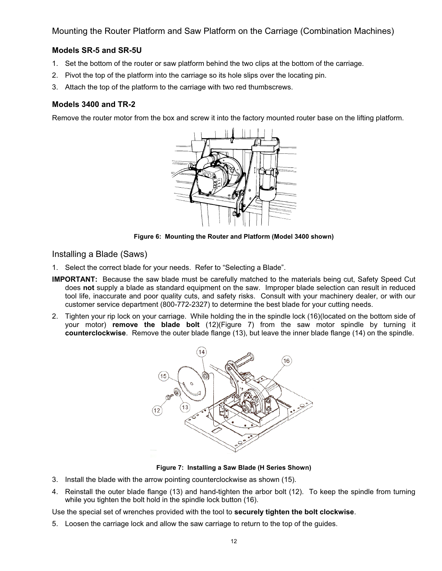Mounting the Router Platform and Saw Platform on the Carriage (Combination Machines)

## **Models SR-5 and SR-5U**

- 1. Set the bottom of the router or saw platform behind the two clips at the bottom of the carriage.
- 2. Pivot the top of the platform into the carriage so its hole slips over the locating pin.
- 3. Attach the top of the platform to the carriage with two red thumbscrews.

#### **Models 3400 and TR-2**

Remove the router motor from the box and screw it into the factory mounted router base on the lifting platform.



**Figure 6: Mounting the Router and Platform (Model 3400 shown)**

Installing a Blade (Saws)

- 1. Select the correct blade for your needs. Refer to "Selecting a Blade".
- **IMPORTANT:** Because the saw blade must be carefully matched to the materials being cut, Safety Speed Cut does **not** supply a blade as standard equipment on the saw. Improper blade selection can result in reduced tool life, inaccurate and poor quality cuts, and safety risks. Consult with your machinery dealer, or with our customer service department (800-772-2327) to determine the best blade for your cutting needs.
- 2. Tighten your rip lock on your carriage. While holding the in the spindle lock (16)(located on the bottom side of your motor) **remove the blade bolt** (12)(Figure 7) from the saw motor spindle by turning it **counterclockwise**. Remove the outer blade flange (13), but leave the inner blade flange (14) on the spindle.



**Figure 7: Installing a Saw Blade (H Series Shown)**

- 3. Install the blade with the arrow pointing counterclockwise as shown (15).
- 4. Reinstall the outer blade flange (13) and hand-tighten the arbor bolt (12). To keep the spindle from turning while you tighten the bolt hold in the spindle lock button (16).

Use the special set of wrenches provided with the tool to **securely tighten the bolt clockwise**.

5. Loosen the carriage lock and allow the saw carriage to return to the top of the guides.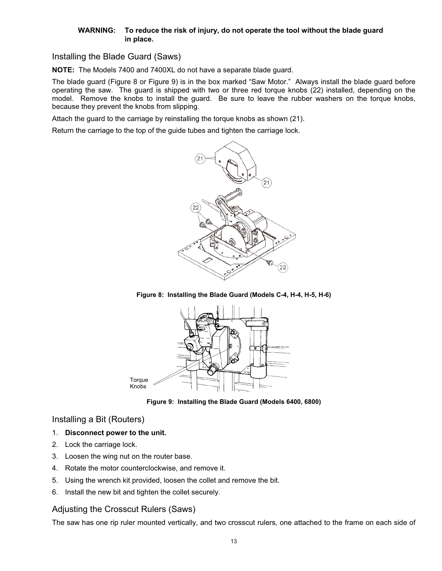#### **WARNING: To reduce the risk of injury, do not operate the tool without the blade guard in place.**

Installing the Blade Guard (Saws)

**NOTE:** The Models 7400 and 7400XL do not have a separate blade guard.

The blade guard (Figure 8 or Figure 9) is in the box marked "Saw Motor." Always install the blade guard before operating the saw. The guard is shipped with two or three red torque knobs (22) installed, depending on the model. Remove the knobs to install the guard. Be sure to leave the rubber washers on the torque knobs, because they prevent the knobs from slipping.

Attach the guard to the carriage by reinstalling the torque knobs as shown (21).

Return the carriage to the top of the guide tubes and tighten the carriage lock.



**Figure 8: Installing the Blade Guard (Models C-4, H-4, H-5, H-6)** 



**Figure 9: Installing the Blade Guard (Models 6400, 6800)** 

Installing a Bit (Routers)

- 1. **Disconnect power to the unit.**
- 2. Lock the carriage lock.
- 3. Loosen the wing nut on the router base.
- 4. Rotate the motor counterclockwise, and remove it.
- 5. Using the wrench kit provided, loosen the collet and remove the bit.
- 6. Install the new bit and tighten the collet securely.

## Adjusting the Crosscut Rulers (Saws)

The saw has one rip ruler mounted vertically, and two crosscut rulers, one attached to the frame on each side of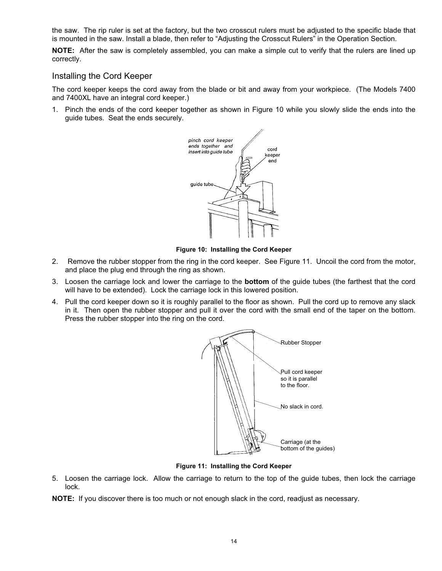the saw. The rip ruler is set at the factory, but the two crosscut rulers must be adjusted to the specific blade that is mounted in the saw. Install a blade, then refer to "Adjusting the Crosscut Rulers" in the Operation Section.

**NOTE:** After the saw is completely assembled, you can make a simple cut to verify that the rulers are lined up correctly.

#### Installing the Cord Keeper

The cord keeper keeps the cord away from the blade or bit and away from your workpiece. (The Models 7400 and 7400XL have an integral cord keeper.)

1. Pinch the ends of the cord keeper together as shown in Figure 10 while you slowly slide the ends into the guide tubes. Seat the ends securely.



**Figure 10: Installing the Cord Keeper**

- 2. Remove the rubber stopper from the ring in the cord keeper. See Figure 11. Uncoil the cord from the motor, and place the plug end through the ring as shown.
- 3. Loosen the carriage lock and lower the carriage to the **bottom** of the guide tubes (the farthest that the cord will have to be extended). Lock the carriage lock in this lowered position.
- 4. Pull the cord keeper down so it is roughly parallel to the floor as shown. Pull the cord up to remove any slack in it. Then open the rubber stopper and pull it over the cord with the small end of the taper on the bottom. Press the rubber stopper into the ring on the cord.



**Figure 11: Installing the Cord Keeper**

5. Loosen the carriage lock. Allow the carriage to return to the top of the guide tubes, then lock the carriage lock.

**NOTE:** If you discover there is too much or not enough slack in the cord, readjust as necessary.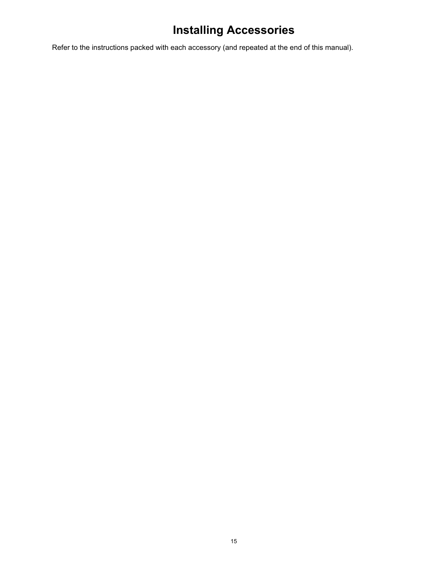# **Installing Accessories**

Refer to the instructions packed with each accessory (and repeated at the end of this manual).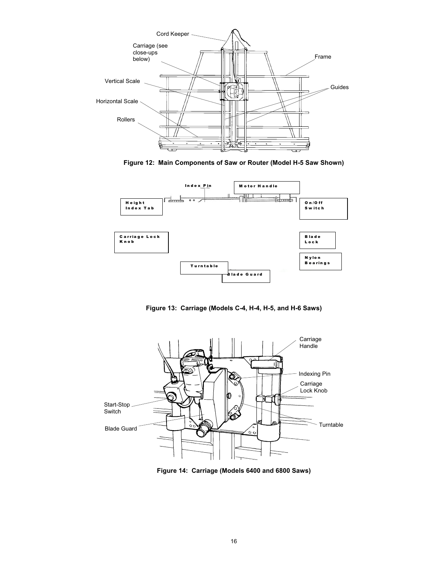

**Figure 12: Main Components of Saw or Router (Model H-5 Saw Shown)**



**Figure 13: Carriage (Models C-4, H-4, H-5, and H-6 Saws)**



**Figure 14: Carriage (Models 6400 and 6800 Saws)**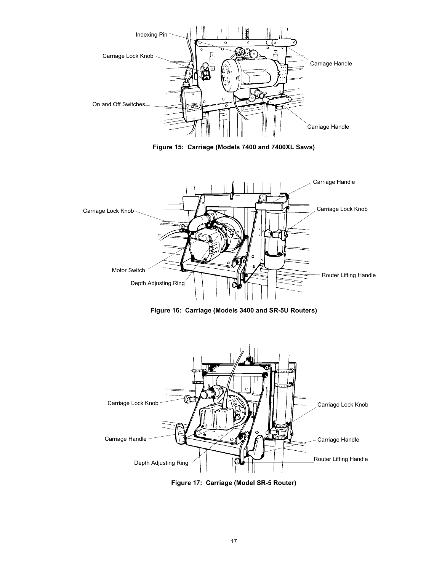

**Figure 15: Carriage (Models 7400 and 7400XL Saws)**



**Figure 16: Carriage (Models 3400 and SR-5U Routers)**



**Figure 17: Carriage (Model SR-5 Router)**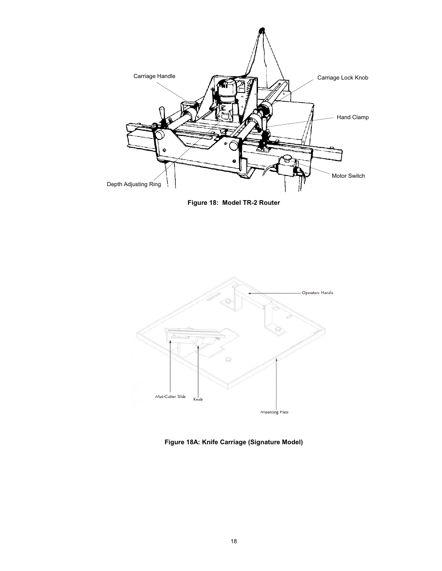

**Figure 18: Model TR-2 Router**



**Figure 18A: Knife Carriage (Signature Model)**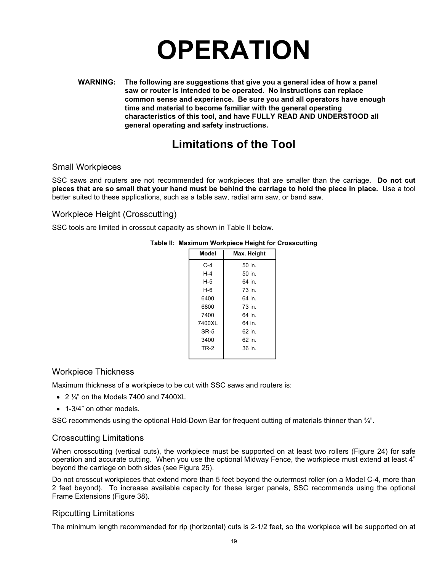# **OPERATION**

**WARNING: The following are suggestions that give you a general idea of how a panel saw or router is intended to be operated. No instructions can replace common sense and experience. Be sure you and all operators have enough time and material to become familiar with the general operating characteristics of this tool, and have FULLY READ AND UNDERSTOOD all general operating and safety instructions.** 

## **Limitations of the Tool**

## Small Workpieces

SSC saws and routers are not recommended for workpieces that are smaller than the carriage. **Do not cut pieces that are so small that your hand must be behind the carriage to hold the piece in place.** Use a tool better suited to these applications, such as a table saw, radial arm saw, or band saw.

## Workpiece Height (Crosscutting)

SSC tools are limited in crosscut capacity as shown in Table II below.

| Max. Height | Model       |
|-------------|-------------|
| 50 in.      | $C-4$       |
| 50 in.      | $H-4$       |
| 64 in.      | $H-5$       |
| 73 in.      | $H-6$       |
| 64 in.      | 6400        |
| 73 in.      | 6800        |
| 64 in.      | 7400        |
| 64 in.      | 7400XL      |
| 62 in.      | SR-5        |
| 62 in.      | 3400        |
| 36 in.      | <b>TR-2</b> |
|             |             |

### **Table II: Maximum Workpiece Height for Crosscutting**

## Workpiece Thickness

Maximum thickness of a workpiece to be cut with SSC saws and routers is:

- $\bullet$  2  $\frac{1}{4}$  on the Models 7400 and 7400XL
- 1-3/4" on other models.

SSC recommends using the optional Hold-Down Bar for frequent cutting of materials thinner than  $\frac{3}{4}$ ".

## Crosscutting Limitations

When crosscutting (vertical cuts), the workpiece must be supported on at least two rollers (Figure 24) for safe operation and accurate cutting. When you use the optional Midway Fence, the workpiece must extend at least 4" beyond the carriage on both sides (see Figure 25).

Do not crosscut workpieces that extend more than 5 feet beyond the outermost roller (on a Model C-4, more than 2 feet beyond). To increase available capacity for these larger panels, SSC recommends using the optional Frame Extensions (Figure 38).

## Ripcutting Limitations

The minimum length recommended for rip (horizontal) cuts is 2-1/2 feet, so the workpiece will be supported on at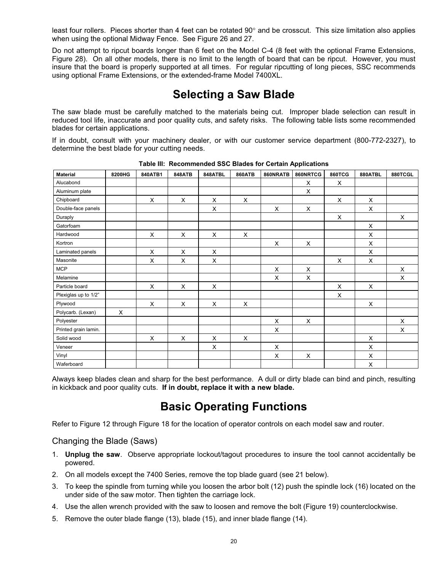least four rollers. Pieces shorter than 4 feet can be rotated  $90^{\circ}$  and be crosscut. This size limitation also applies when using the optional Midway Fence. See Figure 26 and 27.

Do not attempt to ripcut boards longer than 6 feet on the Model C-4 (8 feet with the optional Frame Extensions, Figure 28). On all other models, there is no limit to the length of board that can be ripcut. However, you must insure that the board is properly supported at all times. For regular ripcutting of long pieces, SSC recommends using optional Frame Extensions, or the extended-frame Model 7400XL.

## **Selecting a Saw Blade**

The saw blade must be carefully matched to the materials being cut. Improper blade selection can result in reduced tool life, inaccurate and poor quality cuts, and safety risks. The following table lists some recommended blades for certain applications.

If in doubt, consult with your machinery dealer, or with our customer service department (800-772-2327), to determine the best blade for your cutting needs.

| <b>Material</b>      | 8200HG | 840ATB1 | <b>848ATB</b>  | 848ATBL | <b>860ATB</b> | 860NRATB | 860NRTCG | <b>860TCG</b> | 880ATBL | 880TCGL |
|----------------------|--------|---------|----------------|---------|---------------|----------|----------|---------------|---------|---------|
| Alucabond            |        |         |                |         |               |          | X        | X             |         |         |
| Aluminum plate       |        |         |                |         |               |          | X        |               |         |         |
| Chipboard            |        | X       | X              | X       | X             |          |          | X             | X       |         |
| Double-face panels   |        |         |                | X       |               | X        | X        |               | X       |         |
| Duraply              |        |         |                |         |               |          |          | X             |         | X       |
| Gatorfoam            |        |         |                |         |               |          |          |               | X       |         |
| Hardwood             |        | X       | X              | X       | X             |          |          |               | X       |         |
| Kortron              |        |         |                |         |               | X        | X        |               | X       |         |
| Laminated panels     |        | X       | $\pmb{\times}$ | X       |               |          |          |               | X       |         |
| Masonite             |        | X       | X              | X       |               |          |          | X             | X       |         |
| <b>MCP</b>           |        |         |                |         |               | X        | X        |               |         | X       |
| Melamine             |        |         |                |         |               | X        | X        |               |         | X       |
| Particle board       |        | X       | X              | X       |               |          |          | X             | X       |         |
| Plexiglas up to 1/2" |        |         |                |         |               |          |          | X             |         |         |
| Plywood              |        | X       | X              | X       | X             |          |          |               | X       |         |
| Polycarb. (Lexan)    | X      |         |                |         |               |          |          |               |         |         |
| Polyester            |        |         |                |         |               | X        | X        |               |         | X       |
| Printed grain lamin. |        |         |                |         |               | X        |          |               |         | X       |
| Solid wood           |        | X       | X              | X       | $\times$      |          |          |               | X       |         |
| Veneer               |        |         |                | X       |               | X        |          |               | X       |         |
| Vinyl                |        |         |                |         |               | X        | X        |               | X       |         |
| Waferboard           |        |         |                |         |               |          |          |               | X       |         |

**Table III: Recommended SSC Blades for Certain Applications** 

Always keep blades clean and sharp for the best performance. A dull or dirty blade can bind and pinch, resulting in kickback and poor quality cuts. **If in doubt, replace it with a new blade.** 

## **Basic Operating Functions**

Refer to Figure 12 through Figure 18 for the location of operator controls on each model saw and router.

## Changing the Blade (Saws)

- 1. **Unplug the saw**. Observe appropriate lockout/tagout procedures to insure the tool cannot accidentally be powered.
- 2. On all models except the 7400 Series, remove the top blade guard (see 21 below).
- 3. To keep the spindle from turning while you loosen the arbor bolt (12) push the spindle lock (16) located on the under side of the saw motor. Then tighten the carriage lock.
- 4. Use the allen wrench provided with the saw to loosen and remove the bolt (Figure 19) counterclockwise.
- 5. Remove the outer blade flange (13), blade (15), and inner blade flange (14).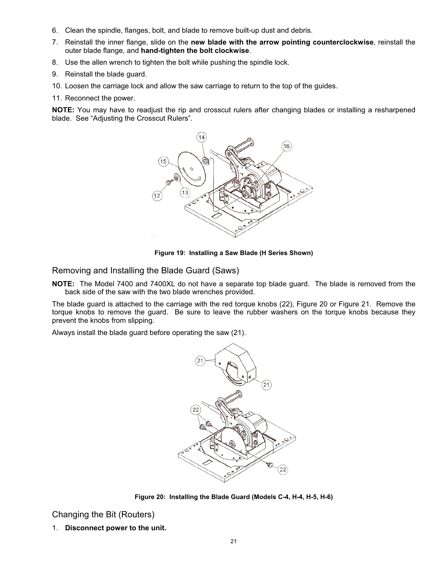- 6. Clean the spindle, flanges, bolt, and blade to remove built-up dust and debris.
- 7. Reinstall the inner flange, slide on the **new blade with the arrow pointing counterclockwise**, reinstall the outer blade flange, and **hand-tighten the bolt clockwise**.
- 8. Use the allen wrench to tighten the bolt while pushing the spindle lock.
- 9. Reinstall the blade guard.
- 10. Loosen the carriage lock and allow the saw carriage to return to the top of the guides.
- 11. Reconnect the power.

**NOTE:** You may have to readjust the rip and crosscut rulers after changing blades or installing a resharpened blade. See "Adjusting the Crosscut Rulers".



**Figure 19: Installing a Saw Blade (H Series Shown)**

Removing and Installing the Blade Guard (Saws)

**NOTE:** The Model 7400 and 7400XL do not have a separate top blade guard. The blade is removed from the back side of the saw with the two blade wrenches provided.

The blade guard is attached to the carriage with the red torque knobs (22), Figure 20 or Figure 21. Remove the torque knobs to remove the guard. Be sure to leave the rubber washers on the torque knobs because they prevent the knobs from slipping.

Always install the blade guard before operating the saw (21).



**Figure 20: Installing the Blade Guard (Models C-4, H-4, H-5, H-6)** 

Changing the Bit (Routers)

1. **Disconnect power to the unit.**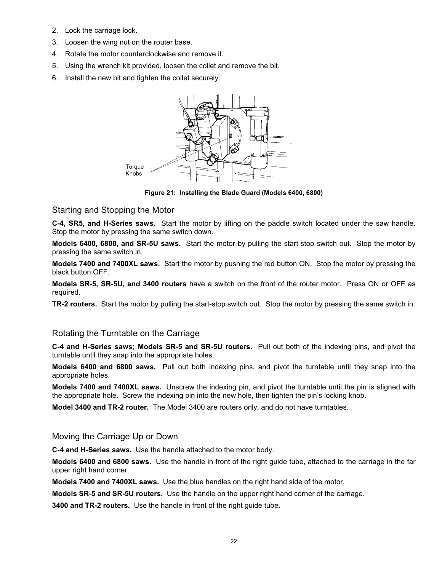- 2. Lock the carriage lock.
- 3. Loosen the wing nut on the router base.
- 4. Rotate the motor counterclockwise and remove it.
- 5. Using the wrench kit provided, loosen the collet and remove the bit.
- 6. Install the new bit and tighten the collet securely.



**Figure 21: Installing the Blade Guard (Models 6400, 6800)** 

#### Starting and Stopping the Motor

**C-4, SR5, and H-Series saws.** Start the motor by lifting on the paddle switch located under the saw handle. Stop the motor by pressing the same switch down.

**Models 6400, 6800, and SR-5U saws.** Start the motor by pulling the start-stop switch out. Stop the motor by pressing the same switch in.

**Models 7400 and 7400XL saws.** Start the motor by pushing the red button ON. Stop the motor by pressing the black button OFF.

**Models SR-5, SR-5U, and 3400 routers** have a switch on the front of the router motor. Press ON or OFF as required.

**TR-2 routers.** Start the motor by pulling the start-stop switch out. Stop the motor by pressing the same switch in.

#### Rotating the Turntable on the Carriage

**C-4 and H-Series saws; Models SR-5 and SR-5U routers.** Pull out both of the indexing pins, and pivot the turntable until they snap into the appropriate holes.

**Models 6400 and 6800 saws.** Pull out both indexing pins, and pivot the turntable until they snap into the appropriate holes.

**Models 7400 and 7400XL saws.** Unscrew the indexing pin, and pivot the turntable until the pin is aligned with the appropriate hole. Screw the indexing pin into the new hole, then tighten the pin's locking knob.

**Model 3400 and TR-2 router.** The Model 3400 are routers only, and do not have turntables.

#### Moving the Carriage Up or Down

**C-4 and H-Series saws.** Use the handle attached to the motor body.

**Models 6400 and 6800 saws.** Use the handle in front of the right guide tube, attached to the carriage in the far upper right hand corner.

**Models 7400 and 7400XL saws.** Use the blue handles on the right hand side of the motor.

**Models SR-5 and SR-5U routers.** Use the handle on the upper right hand corner of the carriage.

**3400 and TR-2 routers.** Use the handle in front of the right guide tube.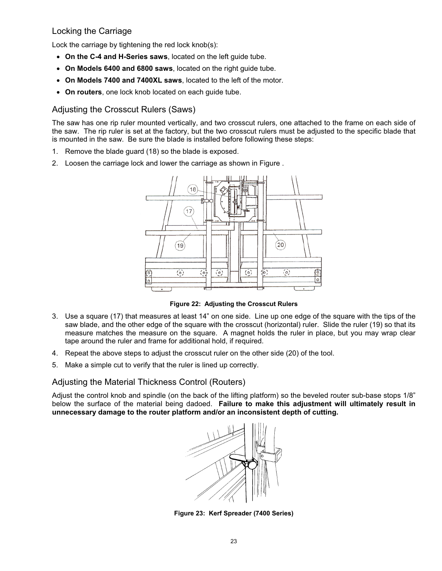## Locking the Carriage

Lock the carriage by tightening the red lock knob(s):

- On the C-4 and H-Series saws, located on the left quide tube.
- x **On Models 6400 and 6800 saws**, located on the right guide tube.
- On Models 7400 and 7400XL saws, located to the left of the motor.
- **On routers**, one lock knob located on each guide tube.

## Adjusting the Crosscut Rulers (Saws)

The saw has one rip ruler mounted vertically, and two crosscut rulers, one attached to the frame on each side of the saw. The rip ruler is set at the factory, but the two crosscut rulers must be adjusted to the specific blade that is mounted in the saw. Be sure the blade is installed before following these steps:

- 1. Remove the blade guard (18) so the blade is exposed.
- 2. Loosen the carriage lock and lower the carriage as shown in Figure .



**Figure 22: Adjusting the Crosscut Rulers**

- 3. Use a square (17) that measures at least 14" on one side. Line up one edge of the square with the tips of the saw blade, and the other edge of the square with the crosscut (horizontal) ruler. Slide the ruler (19) so that its measure matches the measure on the square. A magnet holds the ruler in place, but you may wrap clear tape around the ruler and frame for additional hold, if required.
- 4. Repeat the above steps to adjust the crosscut ruler on the other side (20) of the tool.
- 5. Make a simple cut to verify that the ruler is lined up correctly.

## Adjusting the Material Thickness Control (Routers)

Adjust the control knob and spindle (on the back of the lifting platform) so the beveled router sub-base stops 1/8" below the surface of the material being dadoed. **Failure to make this adjustment will ultimately result in unnecessary damage to the router platform and/or an inconsistent depth of cutting.** 



**Figure 23: Kerf Spreader (7400 Series)**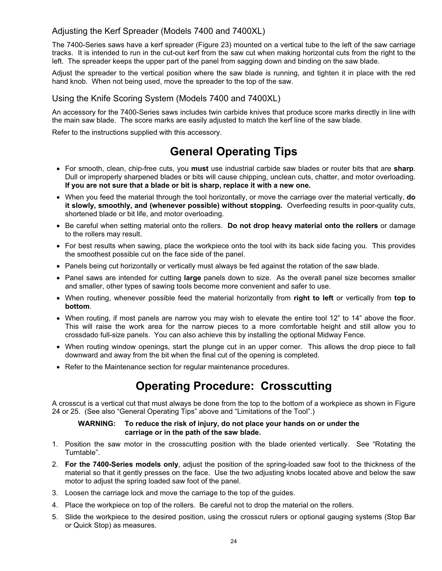## Adjusting the Kerf Spreader (Models 7400 and 7400XL)

The 7400-Series saws have a kerf spreader (Figure 23) mounted on a vertical tube to the left of the saw carriage tracks. It is intended to run in the cut-out kerf from the saw cut when making horizontal cuts from the right to the left. The spreader keeps the upper part of the panel from sagging down and binding on the saw blade.

Adjust the spreader to the vertical position where the saw blade is running, and tighten it in place with the red hand knob. When not being used, move the spreader to the top of the saw.

## Using the Knife Scoring System (Models 7400 and 7400XL)

An accessory for the 7400-Series saws includes twin carbide knives that produce score marks directly in line with the main saw blade. The score marks are easily adjusted to match the kerf line of the saw blade.

Refer to the instructions supplied with this accessory.

# **General Operating Tips**

- x For smooth, clean, chip-free cuts, you **must** use industrial carbide saw blades or router bits that are **sharp**. Dull or improperly sharpened blades or bits will cause chipping, unclean cuts, chatter, and motor overloading. **If you are not sure that a blade or bit is sharp, replace it with a new one.**
- x When you feed the material through the tool horizontally, or move the carriage over the material vertically, **do it slowly, smoothly, and (whenever possible) without stopping.** Overfeeding results in poor-quality cuts, shortened blade or bit life, and motor overloading.
- x Be careful when setting material onto the rollers. **Do not drop heavy material onto the rollers** or damage to the rollers may result.
- For best results when sawing, place the workpiece onto the tool with its back side facing you. This provides the smoothest possible cut on the face side of the panel.
- Panels being cut horizontally or vertically must always be fed against the rotation of the saw blade.
- Panel saws are intended for cutting large panels down to size. As the overall panel size becomes smaller and smaller, other types of sawing tools become more convenient and safer to use.
- x When routing, whenever possible feed the material horizontally from **right to left** or vertically from **top to bottom**.
- When routing, if most panels are narrow you may wish to elevate the entire tool 12" to 14" above the floor. This will raise the work area for the narrow pieces to a more comfortable height and still allow you to crossdado full-size panels. You can also achieve this by installing the optional Midway Fence.
- When routing window openings, start the plunge cut in an upper corner. This allows the drop piece to fall downward and away from the bit when the final cut of the opening is completed.
- Refer to the Maintenance section for regular maintenance procedures.

## **Operating Procedure: Crosscutting**

A crosscut is a vertical cut that must always be done from the top to the bottom of a workpiece as shown in Figure 24 or 25. (See also "General Operating Tips" above and "Limitations of the Tool".)

#### **WARNING: To reduce the risk of injury, do not place your hands on or under the carriage or in the path of the saw blade.**

- 1. Position the saw motor in the crosscutting position with the blade oriented vertically. See "Rotating the Turntable".
- 2. **For the 7400-Series models only**, adjust the position of the spring-loaded saw foot to the thickness of the material so that it gently presses on the face. Use the two adjusting knobs located above and below the saw motor to adjust the spring loaded saw foot of the panel.
- 3. Loosen the carriage lock and move the carriage to the top of the guides.
- 4. Place the workpiece on top of the rollers. Be careful not to drop the material on the rollers.
- 5. Slide the workpiece to the desired position, using the crosscut rulers or optional gauging systems (Stop Bar or Quick Stop) as measures.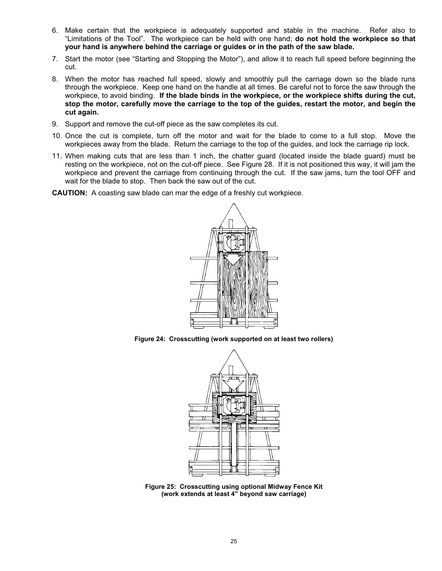- 6. Make certain that the workpiece is adequately supported and stable in the machine. Refer also to "Limitations of the Tool". The workpiece can be held with one hand; **do not hold the workpiece so that your hand is anywhere behind the carriage or guides or in the path of the saw blade.**
- 7. Start the motor (see "Starting and Stopping the Motor"), and allow it to reach full speed before beginning the cut.
- 8. When the motor has reached full speed, slowly and smoothly pull the carriage down so the blade runs through the workpiece. Keep one hand on the handle at all times. Be careful not to force the saw through the workpiece, to avoid binding. **If the blade binds in the workpiece, or the workpiece shifts during the cut, stop the motor, carefully move the carriage to the top of the guides, restart the motor, and begin the cut again.**
- 9. Support and remove the cut-off piece as the saw completes its cut.
- 10. Once the cut is complete, turn off the motor and wait for the blade to come to a full stop. Move the workpieces away from the blade. Return the carriage to the top of the guides, and lock the carriage rip lock.
- 11. When making cuts that are less than 1 inch, the chatter guard (located inside the blade guard) must be resting on the workpiece, not on the cut-off piece. See Figure 28. If it is not positioned this way, it will jam the workpiece and prevent the carriage from continuing through the cut. If the saw jams, turn the tool OFF and wait for the blade to stop. Then back the saw out of the cut.
- **CAUTION:** A coasting saw blade can mar the edge of a freshly cut workpiece.



**Figure 24: Crosscutting (work supported on at least two rollers)** 



**Figure 25: Crosscutting using optional Midway Fence Kit (work extends at least 4" beyond saw carriage)**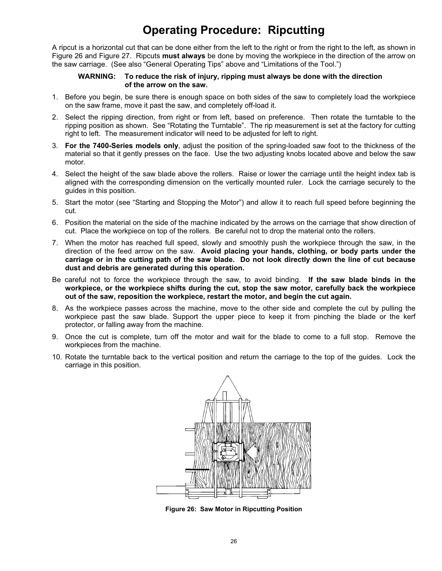# **Operating Procedure: Ripcutting**

A ripcut is a horizontal cut that can be done either from the left to the right or from the right to the left, as shown in Figure 26 and Figure 27. Ripcuts **must always** be done by moving the workpiece in the direction of the arrow on the saw carriage. (See also "General Operating Tips" above and "Limitations of the Tool.")

#### **WARNING: To reduce the risk of injury, ripping must always be done with the direction of the arrow on the saw.**

- 1. Before you begin, be sure there is enough space on both sides of the saw to completely load the workpiece on the saw frame, move it past the saw, and completely off-load it.
- 2. Select the ripping direction, from right or from left, based on preference. Then rotate the turntable to the ripping position as shown. See "Rotating the Turntable". The rip measurement is set at the factory for cutting right to left. The measurement indicator will need to be adjusted for left to right.
- 3. **For the 7400-Series models only**, adjust the position of the spring-loaded saw foot to the thickness of the material so that it gently presses on the face. Use the two adjusting knobs located above and below the saw motor.
- 4. Select the height of the saw blade above the rollers. Raise or lower the carriage until the height index tab is aligned with the corresponding dimension on the vertically mounted ruler. Lock the carriage securely to the guides in this position.
- 5. Start the motor (see "Starting and Stopping the Motor") and allow it to reach full speed before beginning the cut.
- 6. Position the material on the side of the machine indicated by the arrows on the carriage that show direction of cut. Place the workpiece on top of the rollers. Be careful not to drop the material onto the rollers.
- 7. When the motor has reached full speed, slowly and smoothly push the workpiece through the saw, in the direction of the feed arrow on the saw. **Avoid placing your hands, clothing, or body parts under the carriage or in the cutting path of the saw blade. Do not look directly down the line of cut because dust and debris are generated during this operation.**
- Be careful not to force the workpiece through the saw, to avoid binding. **If the saw blade binds in the workpiece, or the workpiece shifts during the cut, stop the saw motor, carefully back the workpiece out of the saw, reposition the workpiece, restart the motor, and begin the cut again.**
- 8. As the workpiece passes across the machine, move to the other side and complete the cut by pulling the workpiece past the saw blade. Support the upper piece to keep it from pinching the blade or the kerf protector, or falling away from the machine.
- 9. Once the cut is complete, turn off the motor and wait for the blade to come to a full stop. Remove the workpieces from the machine.
- 10. Rotate the turntable back to the vertical position and return the carriage to the top of the guides. Lock the carriage in this position.



**Figure 26: Saw Motor in Ripcutting Position**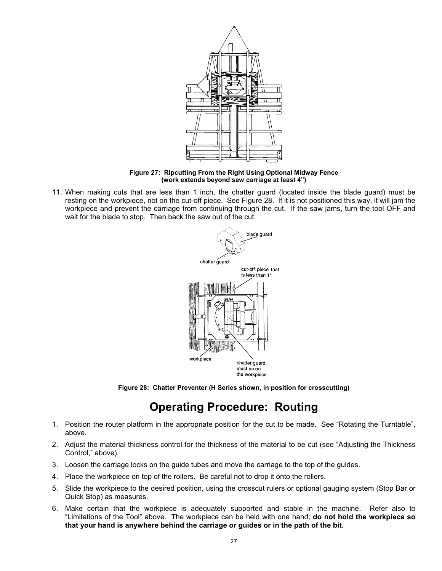

**Figure 27: Ripcutting From the Right Using Optional Midway Fence (work extends beyond saw carriage at least 4")** 

11. When making cuts that are less than 1 inch, the chatter guard (located inside the blade guard) must be resting on the workpiece, not on the cut-off piece. See Figure 28. If it is not positioned this way, it will jam the workpiece and prevent the carriage from continuing through the cut. If the saw jams, turn the tool OFF and wait for the blade to stop. Then back the saw out of the cut.



**Figure 28: Chatter Preventer (H Series shown, in position for crosscutting)**

# **Operating Procedure: Routing**

- 1. Position the router platform in the appropriate position for the cut to be made. See "Rotating the Turntable", above.
- 2. Adjust the material thickness control for the thickness of the material to be cut (see "Adjusting the Thickness Control," above).
- 3. Loosen the carriage locks on the guide tubes and move the carriage to the top of the guides.
- 4. Place the workpiece on top of the rollers. Be careful not to drop it onto the rollers.
- 5. Slide the workpiece to the desired position, using the crosscut rulers or optional gauging system (Stop Bar or Quick Stop) as measures.
- 6. Make certain that the workpiece is adequately supported and stable in the machine. Refer also to "Limitations of the Tool" above. The workpiece can be held with one hand; **do not hold the workpiece so that your hand is anywhere behind the carriage or guides or in the path of the bit.**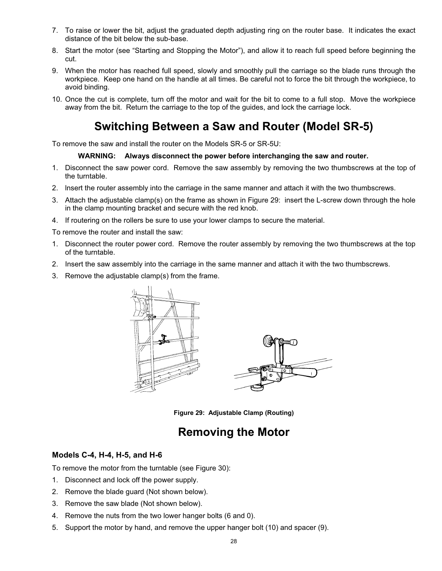- 7. To raise or lower the bit, adjust the graduated depth adjusting ring on the router base. It indicates the exact distance of the bit below the sub-base.
- 8. Start the motor (see "Starting and Stopping the Motor"), and allow it to reach full speed before beginning the cut.
- 9. When the motor has reached full speed, slowly and smoothly pull the carriage so the blade runs through the workpiece. Keep one hand on the handle at all times. Be careful not to force the bit through the workpiece, to avoid binding.
- 10. Once the cut is complete, turn off the motor and wait for the bit to come to a full stop. Move the workpiece away from the bit. Return the carriage to the top of the guides, and lock the carriage lock.

# **Switching Between a Saw and Router (Model SR-5)**

To remove the saw and install the router on the Models SR-5 or SR-5U:

#### **WARNING: Always disconnect the power before interchanging the saw and router.**

- 1. Disconnect the saw power cord. Remove the saw assembly by removing the two thumbscrews at the top of the turntable.
- 2. lnsert the router assembly into the carriage in the same manner and attach it with the two thumbscrews.
- 3. Attach the adjustable clamp(s) on the frame as shown in Figure 29: insert the L-screw down through the hole in the clamp mounting bracket and secure with the red knob.
- 4. If routering on the rollers be sure to use your lower clamps to secure the material.

To remove the router and install the saw:

- 1. Disconnect the router power cord. Remove the router assembly by removing the two thumbscrews at the top of the turntable.
- 2. Insert the saw assembly into the carriage in the same manner and attach it with the two thumbscrews.
- 3. Remove the adjustable clamp(s) from the frame.



**Figure 29: Adjustable Clamp (Routing)** 

## **Removing the Motor**

## **Models C-4, H-4, H-5, and H-6**

To remove the motor from the turntable (see Figure 30):

- 1. Disconnect and lock off the power supply.
- 2. Remove the blade guard (Not shown below).
- 3. Remove the saw blade (Not shown below).
- 4. Remove the nuts from the two lower hanger bolts (6 and 0).
- 5. Support the motor by hand, and remove the upper hanger bolt (10) and spacer (9).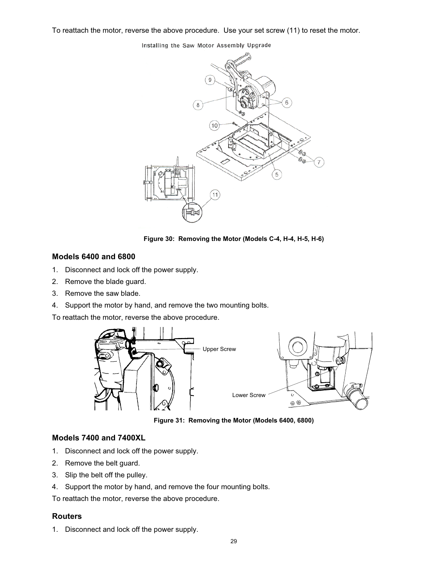To reattach the motor, reverse the above procedure. Use your set screw (11) to reset the motor.

Installing the Saw Motor Assembly Upgrade



**Figure 30: Removing the Motor (Models C-4, H-4, H-5, H-6)** 

#### **Models 6400 and 6800**

- 1. Disconnect and lock off the power supply.
- 2. Remove the blade guard.
- 3. Remove the saw blade.
- 4. Support the motor by hand, and remove the two mounting bolts.

To reattach the motor, reverse the above procedure.



**Figure 31: Removing the Motor (Models 6400, 6800)** 

#### **Models 7400 and 7400XL**

- 1. Disconnect and lock off the power supply.
- 2. Remove the belt guard.
- 3. Slip the belt off the pulley.
- 4. Support the motor by hand, and remove the four mounting bolts.

To reattach the motor, reverse the above procedure.

#### **Routers**

1. Disconnect and lock off the power supply.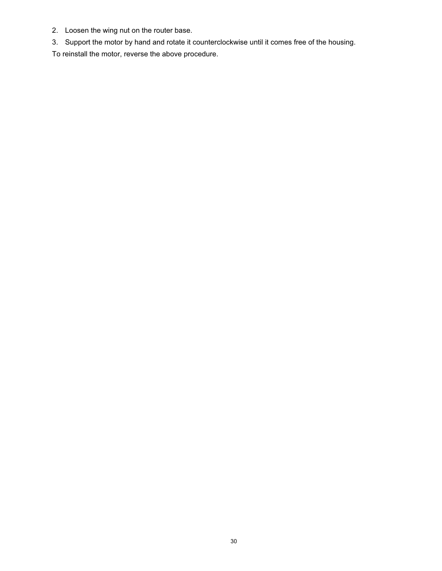- 2. Loosen the wing nut on the router base.
- 3. Support the motor by hand and rotate it counterclockwise until it comes free of the housing.

To reinstall the motor, reverse the above procedure.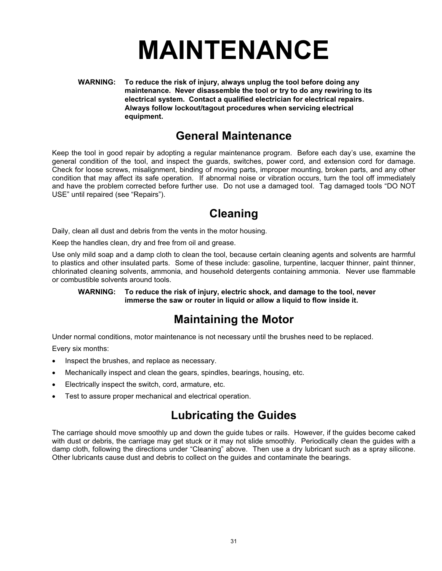# **MAINTENANCE**

**WARNING: To reduce the risk of injury, always unplug the tool before doing any maintenance. Never disassemble the tool or try to do any rewiring to its electrical system. Contact a qualified electrician for electrical repairs. Always follow lockout/tagout procedures when servicing electrical equipment.**

## **General Maintenance**

Keep the tool in good repair by adopting a regular maintenance program. Before each day's use, examine the general condition of the tool, and inspect the guards, switches, power cord, and extension cord for damage. Check for loose screws, misalignment, binding of moving parts, improper mounting, broken parts, and any other condition that may affect its safe operation. If abnormal noise or vibration occurs, turn the tool off immediately and have the problem corrected before further use. Do not use a damaged tool. Tag damaged tools "DO NOT USE" until repaired (see "Repairs").

# **Cleaning**

Daily, clean all dust and debris from the vents in the motor housing.

Keep the handles clean, dry and free from oil and grease.

Use only mild soap and a damp cloth to clean the tool, because certain cleaning agents and solvents are harmful to plastics and other insulated parts. Some of these include: gasoline, turpentine, lacquer thinner, paint thinner, chlorinated cleaning solvents, ammonia, and household detergents containing ammonia. Never use flammable or combustible solvents around tools.

#### **WARNING: To reduce the risk of injury, electric shock, and damage to the tool, never immerse the saw or router in liquid or allow a liquid to flow inside it.**

## **Maintaining the Motor**

Under normal conditions, motor maintenance is not necessary until the brushes need to be replaced.

Every six months:

- Inspect the brushes, and replace as necessary.
- Mechanically inspect and clean the gears, spindles, bearings, housing, etc.
- Electrically inspect the switch, cord, armature, etc.
- Test to assure proper mechanical and electrical operation.

## **Lubricating the Guides**

The carriage should move smoothly up and down the guide tubes or rails. However, if the guides become caked with dust or debris, the carriage may get stuck or it may not slide smoothly. Periodically clean the guides with a damp cloth, following the directions under "Cleaning" above. Then use a dry lubricant such as a spray silicone. Other lubricants cause dust and debris to collect on the guides and contaminate the bearings.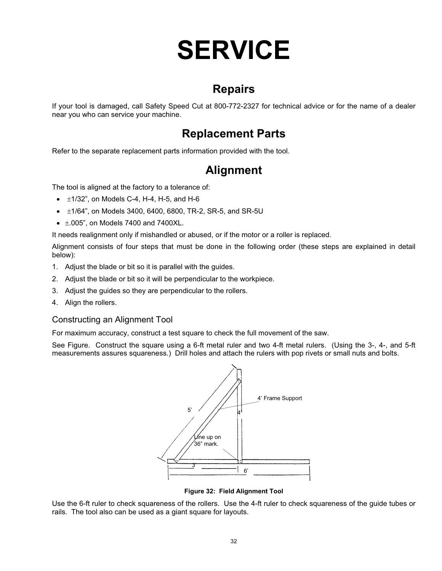# **SERVICE**

## **Repairs**

If your tool is damaged, call Safety Speed Cut at 800-772-2327 for technical advice or for the name of a dealer near you who can service your machine.

# **Replacement Parts**

Refer to the separate replacement parts information provided with the tool.

## **Alignment**

The tool is aligned at the factory to a tolerance of:

- $\bullet$   $\pm$ 1/32", on Models C-4, H-4, H-5, and H-6
- $\cdot$   $\pm$ 1/64", on Models 3400, 6400, 6800, TR-2, SR-5, and SR-5U
- $\bullet$   $\pm$ .005", on Models 7400 and 7400XL.

It needs realignment only if mishandled or abused, or if the motor or a roller is replaced.

Alignment consists of four steps that must be done in the following order (these steps are explained in detail below):

- 1. Adjust the blade or bit so it is parallel with the guides.
- 2. Adjust the blade or bit so it will be perpendicular to the workpiece.
- 3. Adjust the guides so they are perpendicular to the rollers.
- 4. Align the rollers.

#### Constructing an Alignment Tool

For maximum accuracy, construct a test square to check the full movement of the saw.

See Figure. Construct the square using a 6-ft metal ruler and two 4-ft metal rulers. (Using the 3-, 4-, and 5-ft measurements assures squareness.) Drill holes and attach the rulers with pop rivets or small nuts and bolts.



**Figure 32: Field Alignment Tool** 

Use the 6-ft ruler to check squareness of the rollers. Use the 4-ft ruler to check squareness of the guide tubes or rails. The tool also can be used as a giant square for layouts.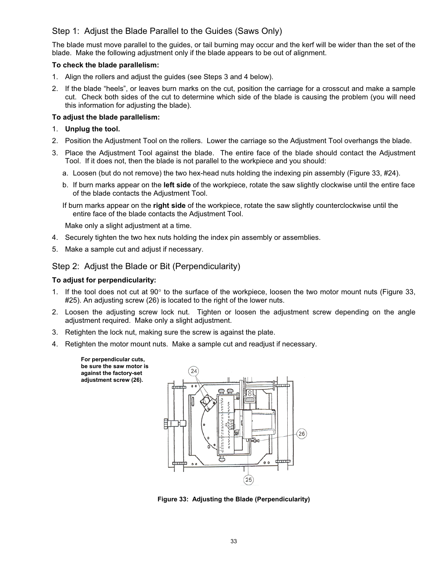## Step 1: Adjust the Blade Parallel to the Guides (Saws Only)

The blade must move parallel to the guides, or tail burning may occur and the kerf will be wider than the set of the blade. Make the following adjustment only if the blade appears to be out of alignment.

#### **To check the blade parallelism:**

- 1. Align the rollers and adjust the guides (see Steps 3 and 4 below).
- 2. If the blade "heels", or leaves burn marks on the cut, position the carriage for a crosscut and make a sample cut. Check both sides of the cut to determine which side of the blade is causing the problem (you will need this information for adjusting the blade).

#### **To adjust the blade parallelism:**

- 1. **Unplug the tool.**
- 2. Position the Adjustment Tool on the rollers. Lower the carriage so the Adjustment Tool overhangs the blade.
- 3. Place the Adjustment Tool against the blade. The entire face of the blade should contact the Adjustment Tool. If it does not, then the blade is not parallel to the workpiece and you should:
	- a. Loosen (but do not remove) the two hex-head nuts holding the indexing pin assembly (Figure 33, #24).
	- b. If burn marks appear on the **left side** of the workpiece, rotate the saw slightly clockwise until the entire face of the blade contacts the Adjustment Tool.
	- If burn marks appear on the **right side** of the workpiece, rotate the saw slightly counterclockwise until the entire face of the blade contacts the Adjustment Tool.

Make only a slight adjustment at a time.

- 4. Securely tighten the two hex nuts holding the index pin assembly or assemblies.
- 5. Make a sample cut and adjust if necessary.

## Step 2: Adjust the Blade or Bit (Perpendicularity)

#### **To adjust for perpendicularity:**

- 1. If the tool does not cut at 90 $^{\circ}$  to the surface of the workpiece, loosen the two motor mount nuts (Figure 33, #25). An adjusting screw (26) is located to the right of the lower nuts.
- 2. Loosen the adjusting screw lock nut. Tighten or loosen the adjustment screw depending on the angle adjustment required. Make only a slight adjustment.
- 3. Retighten the lock nut, making sure the screw is against the plate.
- 4. Retighten the motor mount nuts. Make a sample cut and readjust if necessary.

**For perpendicular cuts, be sure the saw motor is against the factory-set adjustment screw (26).**



**Figure 33: Adjusting the Blade (Perpendicularity)**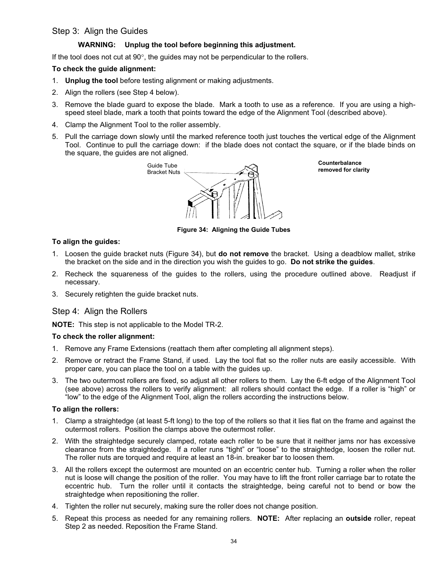## Step 3: Align the Guides

#### **WARNING: Unplug the tool before beginning this adjustment.**

If the tool does not cut at  $90^\circ$ , the guides may not be perpendicular to the rollers.

#### **To check the guide alignment:**

- 1. **Unplug the tool** before testing alignment or making adjustments.
- 2. Align the rollers (see Step 4 below).
- 3. Remove the blade guard to expose the blade. Mark a tooth to use as a reference. If you are using a highspeed steel blade, mark a tooth that points toward the edge of the Alignment Tool (described above).
- 4. Clamp the Alignment Tool to the roller assembly.
- 5. Pull the carriage down slowly until the marked reference tooth just touches the vertical edge of the Alignment Tool. Continue to pull the carriage down: if the blade does not contact the square, or if the blade binds on the square, the guides are not aligned.



**Counterbalance**

**Figure 34: Aligning the Guide Tubes**

#### **To align the guides:**

- 1. Loosen the guide bracket nuts (Figure 34), but **do not remove** the bracket. Using a deadblow mallet, strike the bracket on the side and in the direction you wish the guides to go. **Do not strike the guides**.
- 2. Recheck the squareness of the guides to the rollers, using the procedure outlined above. Readjust if necessary.
- 3. Securely retighten the guide bracket nuts.

#### Step 4: Align the Rollers

**NOTE:** This step is not applicable to the Model TR-2.

#### **To check the roller alignment:**

- 1. Remove any Frame Extensions (reattach them after completing all alignment steps).
- 2. Remove or retract the Frame Stand, if used. Lay the tool flat so the roller nuts are easily accessible. With proper care, you can place the tool on a table with the guides up.
- 3. The two outermost rollers are fixed, so adjust all other rollers to them. Lay the 6-ft edge of the Alignment Tool (see above) across the rollers to verify alignment: all rollers should contact the edge. If a roller is "high" or "low" to the edge of the Alignment Tool, align the rollers according the instructions below.

#### **To align the rollers:**

- 1. Clamp a straightedge (at least 5-ft long) to the top of the rollers so that it lies flat on the frame and against the outermost rollers. Position the clamps above the outermost roller.
- 2. With the straightedge securely clamped, rotate each roller to be sure that it neither jams nor has excessive clearance from the straightedge. If a roller runs "tight" or "loose" to the straightedge, loosen the roller nut. The roller nuts are torqued and require at least an 18-in. breaker bar to loosen them.
- 3. All the rollers except the outermost are mounted on an eccentric center hub. Turning a roller when the roller nut is loose will change the position of the roller. You may have to lift the front roller carriage bar to rotate the eccentric hub. Turn the roller until it contacts the straightedge, being careful not to bend or bow the straightedge when repositioning the roller.
- 4. Tighten the roller nut securely, making sure the roller does not change position.
- 5. Repeat this process as needed for any remaining rollers. **NOTE:** After replacing an **outside** roller, repeat Step 2 as needed. Reposition the Frame Stand.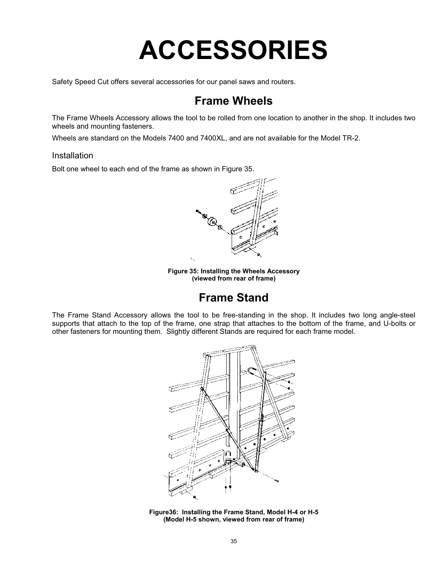# **ACCESSORIES**

Safety Speed Cut offers several accessories for our panel saws and routers.

## **Frame Wheels**

The Frame Wheels Accessory allows the tool to be rolled from one location to another in the shop. It includes two wheels and mounting fasteners.

Wheels are standard on the Models 7400 and 7400XL, and are not available for the Model TR-2.

#### Installation

Bolt one wheel to each end of the frame as shown in Figure 35.



**Figure 35: Installing the Wheels Accessory (viewed from rear of frame)** 

## **Frame Stand**

The Frame Stand Accessory allows the tool to be free-standing in the shop. It includes two long angle-steel supports that attach to the top of the frame, one strap that attaches to the bottom of the frame, and U-bolts or other fasteners for mounting them. Slightly different Stands are required for each frame model.



**Figure36: Installing the Frame Stand, Model H-4 or H-5 (Model H-5 shown, viewed from rear of frame)**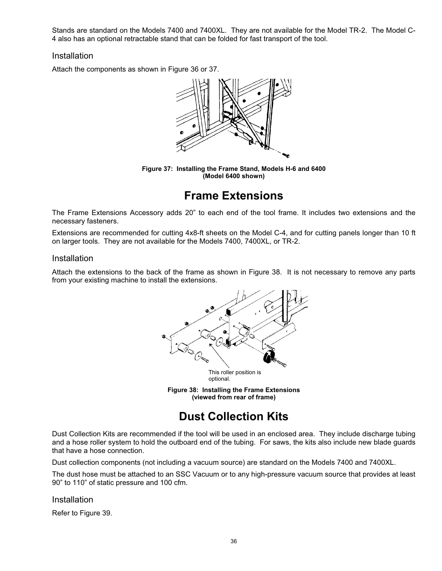Stands are standard on the Models 7400 and 7400XL. They are not available for the Model TR-2. The Model C-4 also has an optional retractable stand that can be folded for fast transport of the tool.

#### Installation

Attach the components as shown in Figure 36 or 37.



**Figure 37: Installing the Frame Stand, Models H-6 and 6400 (Model 6400 shown)**

# **Frame Extensions**

The Frame Extensions Accessory adds 20" to each end of the tool frame. It includes two extensions and the necessary fasteners.

Extensions are recommended for cutting 4x8-ft sheets on the Model C-4, and for cutting panels longer than 10 ft on larger tools. They are not available for the Models 7400, 7400XL, or TR-2.

### Installation

Attach the extensions to the back of the frame as shown in Figure 38. It is not necessary to remove any parts from your existing machine to install the extensions.



**Figure 38: Installing the Frame Extensions (viewed from rear of frame)** 

# **Dust Collection Kits**

Dust Collection Kits are recommended if the tool will be used in an enclosed area. They include discharge tubing and a hose roller system to hold the outboard end of the tubing. For saws, the kits also include new blade guards that have a hose connection.

Dust collection components (not including a vacuum source) are standard on the Models 7400 and 7400XL.

The dust hose must be attached to an SSC Vacuum or to any high-pressure vacuum source that provides at least 90" to 110" of static pressure and 100 cfm.

#### **Installation**

Refer to Figure 39.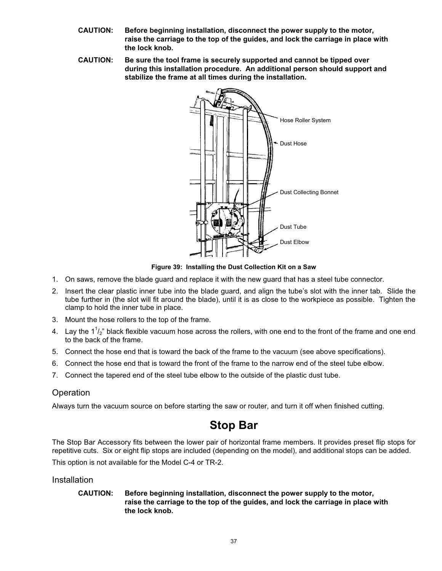- **CAUTION: Before beginning installation, disconnect the power supply to the motor, raise the carriage to the top of the guides, and lock the carriage in place with the lock knob.**
- **CAUTION: Be sure the tool frame is securely supported and cannot be tipped over during this installation procedure. An additional person should support and stabilize the frame at all times during the installation.**



**Figure 39: Installing the Dust Collection Kit on a Saw**

- 1. On saws, remove the blade guard and replace it with the new guard that has a steel tube connector.
- 2. Insert the clear plastic inner tube into the blade guard, and align the tube's slot with the inner tab. Slide the tube further in (the slot will fit around the blade), until it is as close to the workpiece as possible. Tighten the clamp to hold the inner tube in place.
- 3. Mount the hose rollers to the top of the frame.
- 4. Lay the 1 $1/2$ " black flexible vacuum hose across the rollers, with one end to the front of the frame and one end to the back of the frame.
- 5. Connect the hose end that is toward the back of the frame to the vacuum (see above specifications).
- 6. Connect the hose end that is toward the front of the frame to the narrow end of the steel tube elbow.
- 7. Connect the tapered end of the steel tube elbow to the outside of the plastic dust tube.

#### **Operation**

Always turn the vacuum source on before starting the saw or router, and turn it off when finished cutting.

## **Stop Bar**

The Stop Bar Accessory fits between the lower pair of horizontal frame members. It provides preset flip stops for repetitive cuts. Six or eight flip stops are included (depending on the model), and additional stops can be added.

This option is not available for the Model C-4 or TR-2.

#### Installation

#### **CAUTION: Before beginning installation, disconnect the power supply to the motor, raise the carriage to the top of the guides, and lock the carriage in place with the lock knob.**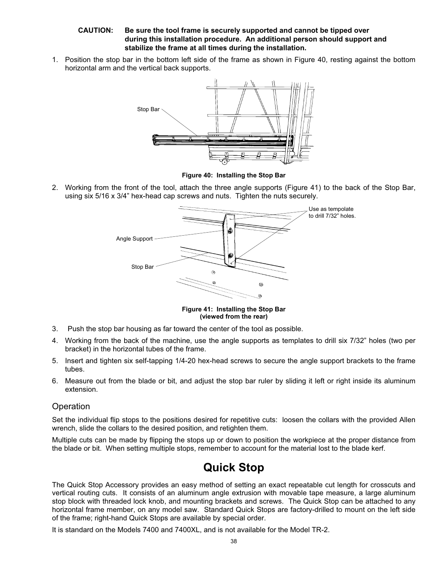#### **CAUTION: Be sure the tool frame is securely supported and cannot be tipped over during this installation procedure. An additional person should support and stabilize the frame at all times during the installation.**

1. Position the stop bar in the bottom left side of the frame as shown in Figure 40, resting against the bottom horizontal arm and the vertical back supports.



**Figure 40: Installing the Stop Bar**

2. Working from the front of the tool, attach the three angle supports (Figure 41) to the back of the Stop Bar, using six 5/16 x 3/4" hex-head cap screws and nuts. Tighten the nuts securely.



**Figure 41: Installing the Stop Bar (viewed from the rear)** 

- 3. Push the stop bar housing as far toward the center of the tool as possible.
- 4. Working from the back of the machine, use the angle supports as templates to drill six 7/32" holes (two per bracket) in the horizontal tubes of the frame.
- 5. Insert and tighten six self-tapping 1/4-20 hex-head screws to secure the angle support brackets to the frame tubes.
- 6. Measure out from the blade or bit, and adjust the stop bar ruler by sliding it left or right inside its aluminum extension.

## **Operation**

Set the individual flip stops to the positions desired for repetitive cuts: loosen the collars with the provided Allen wrench, slide the collars to the desired position, and retighten them.

Multiple cuts can be made by flipping the stops up or down to position the workpiece at the proper distance from the blade or bit. When setting multiple stops, remember to account for the material lost to the blade kerf.

## **Quick Stop**

The Quick Stop Accessory provides an easy method of setting an exact repeatable cut length for crosscuts and vertical routing cuts. It consists of an aluminum angle extrusion with movable tape measure, a large aluminum stop block with threaded lock knob, and mounting brackets and screws. The Quick Stop can be attached to any horizontal frame member, on any model saw. Standard Quick Stops are factory-drilled to mount on the left side of the frame; right-hand Quick Stops are available by special order.

It is standard on the Models 7400 and 7400XL, and is not available for the Model TR-2.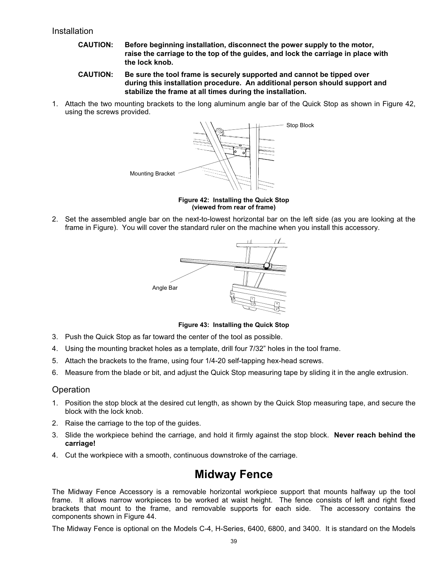### Installation

- **CAUTION: Before beginning installation, disconnect the power supply to the motor, raise the carriage to the top of the guides, and lock the carriage in place with the lock knob.**
- **CAUTION: Be sure the tool frame is securely supported and cannot be tipped over during this installation procedure. An additional person should support and stabilize the frame at all times during the installation.**
- 1. Attach the two mounting brackets to the long aluminum angle bar of the Quick Stop as shown in Figure 42, using the screws provided.



**Figure 42: Installing the Quick Stop (viewed from rear of frame)** 

2. Set the assembled angle bar on the next-to-lowest horizontal bar on the left side (as you are looking at the frame in Figure). You will cover the standard ruler on the machine when you install this accessory.



**Figure 43: Installing the Quick Stop**

- 3. Push the Quick Stop as far toward the center of the tool as possible.
- 4. Using the mounting bracket holes as a template, drill four 7/32" holes in the tool frame.
- 5. Attach the brackets to the frame, using four 1/4-20 self-tapping hex-head screws.
- 6. Measure from the blade or bit, and adjust the Quick Stop measuring tape by sliding it in the angle extrusion.

#### **Operation**

- 1. Position the stop block at the desired cut length, as shown by the Quick Stop measuring tape, and secure the block with the lock knob.
- 2. Raise the carriage to the top of the guides.
- 3. Slide the workpiece behind the carriage, and hold it firmly against the stop block. **Never reach behind the carriage!**
- 4. Cut the workpiece with a smooth, continuous downstroke of the carriage.

## **Midway Fence**

The Midway Fence Accessory is a removable horizontal workpiece support that mounts halfway up the tool frame. It allows narrow workpieces to be worked at waist height. The fence consists of left and right fixed brackets that mount to the frame, and removable supports for each side. The accessory contains the components shown in Figure 44.

The Midway Fence is optional on the Models C-4, H-Series, 6400, 6800, and 3400. It is standard on the Models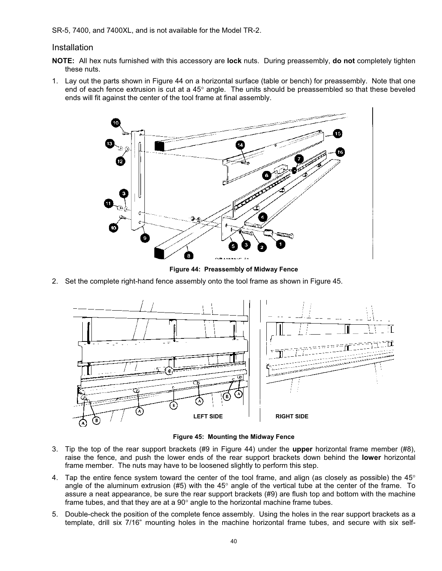SR-5, 7400, and 7400XL, and is not available for the Model TR-2.

#### Installation

- **NOTE:** All hex nuts furnished with this accessory are **lock** nuts. During preassembly, **do not** completely tighten these nuts.
- 1. Lay out the parts shown in Figure 44 on a horizontal surface (table or bench) for preassembly. Note that one end of each fence extrusion is cut at a 45 $^{\circ}$  angle. The units should be preassembled so that these beveled ends will fit against the center of the tool frame at final assembly.



**Figure 44: Preassembly of Midway Fence**

2. Set the complete right-hand fence assembly onto the tool frame as shown in Figure 45.



**Figure 45: Mounting the Midway Fence**

- 3. Tip the top of the rear support brackets (#9 in Figure 44) under the **upper** horizontal frame member (#8), raise the fence, and push the lower ends of the rear support brackets down behind the **lower** horizontal frame member. The nuts may have to be loosened slightly to perform this step.
- 4. Tap the entire fence system toward the center of the tool frame, and align (as closely as possible) the  $45^{\circ}$ angle of the aluminum extrusion (#5) with the 45 $^{\circ}$  angle of the vertical tube at the center of the frame. To assure a neat appearance, be sure the rear support brackets (#9) are flush top and bottom with the machine frame tubes, and that they are at a  $90^{\circ}$  angle to the horizontal machine frame tubes.
- 5. Double-check the position of the complete fence assembly. Using the holes in the rear support brackets as a template, drill six 7/16" mounting holes in the machine horizontal frame tubes, and secure with six self-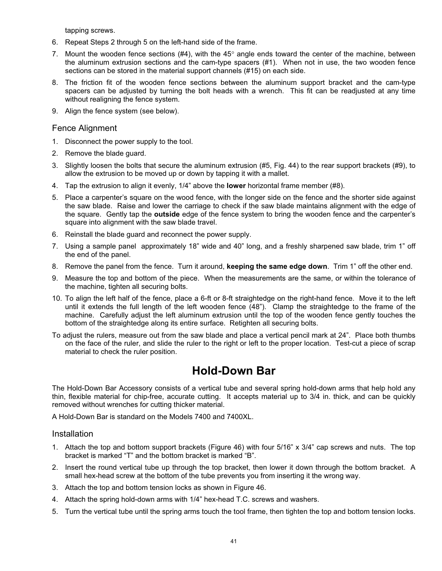tapping screws.

- 6. Repeat Steps 2 through 5 on the left-hand side of the frame.
- 7. Mount the wooden fence sections (#4), with the  $45^{\circ}$  angle ends toward the center of the machine, between the aluminum extrusion sections and the cam-type spacers (#1). When not in use, the two wooden fence sections can be stored in the material support channels (#15) on each side.
- 8. The friction fit of the wooden fence sections between the aluminum support bracket and the cam-type spacers can be adjusted by turning the bolt heads with a wrench. This fit can be readjusted at any time without realigning the fence system.
- 9. Align the fence system (see below).

#### Fence Alignment

- 1. Disconnect the power supply to the tool.
- 2. Remove the blade guard.
- 3. Slightly loosen the bolts that secure the aluminum extrusion (#5, Fig. 44) to the rear support brackets (#9), to allow the extrusion to be moved up or down by tapping it with a mallet.
- 4. Tap the extrusion to align it evenly, 1/4" above the **lower** horizontal frame member (#8).
- 5. Place a carpenter's square on the wood fence, with the longer side on the fence and the shorter side against the saw blade. Raise and lower the carriage to check if the saw blade maintains alignment with the edge of the square. Gently tap the **outside** edge of the fence system to bring the wooden fence and the carpenter's square into alignment with the saw blade travel.
- 6. Reinstall the blade guard and reconnect the power supply.
- 7. Using a sample panel approximately 18" wide and 40" long, and a freshly sharpened saw blade, trim 1" off the end of the panel.
- 8. Remove the panel from the fence. Turn it around, **keeping the same edge down**. Trim 1" off the other end.
- 9. Measure the top and bottom of the piece. When the measurements are the same, or within the tolerance of the machine, tighten all securing bolts.
- 10. To align the left half of the fence, place a 6-ft or 8-ft straightedge on the right-hand fence. Move it to the left until it extends the full length of the left wooden fence (48"). Clamp the straightedge to the frame of the machine. Carefully adjust the left aluminum extrusion until the top of the wooden fence gently touches the bottom of the straightedge along its entire surface. Retighten all securing bolts.
- To adjust the rulers, measure out from the saw blade and place a vertical pencil mark at 24". Place both thumbs on the face of the ruler, and slide the ruler to the right or left to the proper location. Test-cut a piece of scrap material to check the ruler position.

## **Hold-Down Bar**

The Hold-Down Bar Accessory consists of a vertical tube and several spring hold-down arms that help hold any thin, flexible material for chip-free, accurate cutting. It accepts material up to 3/4 in. thick, and can be quickly removed without wrenches for cutting thicker material.

A Hold-Down Bar is standard on the Models 7400 and 7400XL.

Installation

- 1. Attach the top and bottom support brackets (Figure 46) with four 5/16" x 3/4" cap screws and nuts. The top bracket is marked "T" and the bottom bracket is marked "B".
- 2. Insert the round vertical tube up through the top bracket, then lower it down through the bottom bracket. A small hex-head screw at the bottom of the tube prevents you from inserting it the wrong way.
- 3. Attach the top and bottom tension locks as shown in Figure 46.
- 4. Attach the spring hold-down arms with 1/4" hex-head T.C. screws and washers.
- 5. Turn the vertical tube until the spring arms touch the tool frame, then tighten the top and bottom tension locks.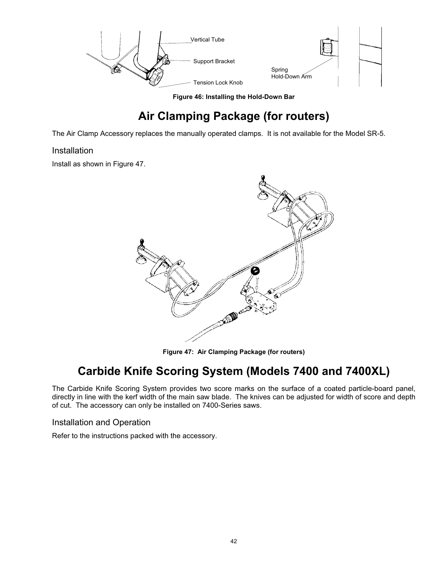

**Figure 46: Installing the Hold-Down Bar**

# **Air Clamping Package (for routers)**

The Air Clamp Accessory replaces the manually operated clamps. It is not available for the Model SR-5.

## **Installation**

Install as shown in Figure 47.



**Figure 47: Air Clamping Package (for routers)**

## **Carbide Knife Scoring System (Models 7400 and 7400XL)**

The Carbide Knife Scoring System provides two score marks on the surface of a coated particle-board panel, directly in line with the kerf width of the main saw blade. The knives can be adjusted for width of score and depth of cut. The accessory can only be installed on 7400-Series saws.

Installation and Operation

Refer to the instructions packed with the accessory.